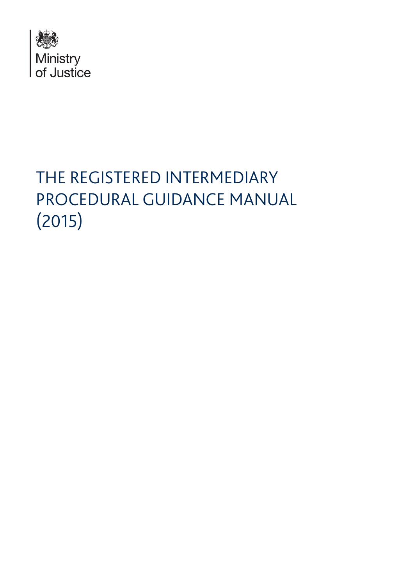

# THE REGISTERED INTERMEDIARY PROCEDURAL GUIDANCE MANUAL (2015)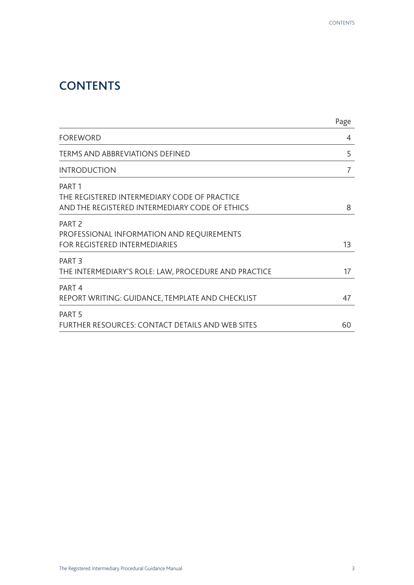## **CONTENTS**

|                                                                                                                     | Page |
|---------------------------------------------------------------------------------------------------------------------|------|
| <b>FOREWORD</b>                                                                                                     | 4    |
| <b>TERMS AND ABBREVIATIONS DEFINED</b>                                                                              | 5    |
| <b>INTRODUCTION</b>                                                                                                 | 7    |
| PART <sub>1</sub><br>THE REGISTERED INTERMEDIARY CODE OF PRACTICE<br>AND THE REGISTERED INTERMEDIARY CODE OF ETHICS | 8    |
| PART <sub>2</sub><br>PROFESSIONAL INFORMATION AND REQUIREMENTS<br><b>FOR REGISTERED INTERMEDIARIES</b>              | 13   |
| PART <sub>3</sub><br>THE INTERMEDIARY'S ROLE: LAW, PROCEDURE AND PRACTICE                                           | 17   |
| PART <sub>4</sub><br>REPORT WRITING: GUIDANCE, TEMPLATE AND CHECKLIST                                               | 47   |
| PART <sub>5</sub><br>FURTHER RESOURCES: CONTACT DETAILS AND WEB SITES                                               | 60   |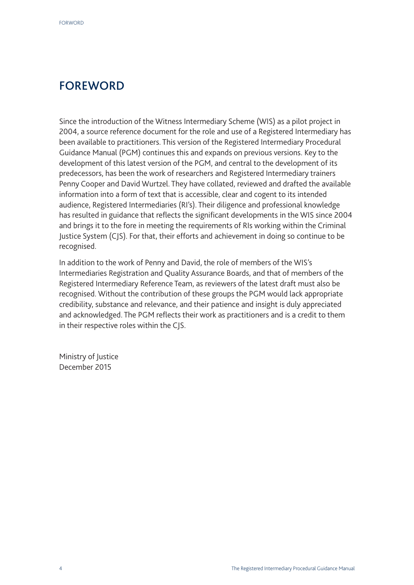## FOREWORD

Since the introduction of the Witness Intermediary Scheme (WIS) as a pilot project in 2004, a source reference document for the role and use of a Registered Intermediary has been available to practitioners. This version of the Registered Intermediary Procedural Guidance Manual (PGM) continues this and expands on previous versions. Key to the development of this latest version of the PGM, and central to the development of its predecessors, has been the work of researchers and Registered Intermediary trainers Penny Cooper and David Wurtzel. They have collated, reviewed and drafted the available information into a form of text that is accessible, clear and cogent to its intended audience, Registered Intermediaries (RI's). Their diligence and professional knowledge has resulted in guidance that reflects the significant developments in the WIS since 2004 and brings it to the fore in meeting the requirements of RIs working within the Criminal Justice System (CJS). For that, their efforts and achievement in doing so continue to be recognised.

In addition to the work of Penny and David, the role of members of the WIS's Intermediaries Registration and Quality Assurance Boards, and that of members of the Registered Intermediary Reference Team, as reviewers of the latest draft must also be recognised. Without the contribution of these groups the PGM would lack appropriate credibility, substance and relevance, and their patience and insight is duly appreciated and acknowledged. The PGM reflects their work as practitioners and is a credit to them in their respective roles within the CJS.

Ministry of Justice December 2015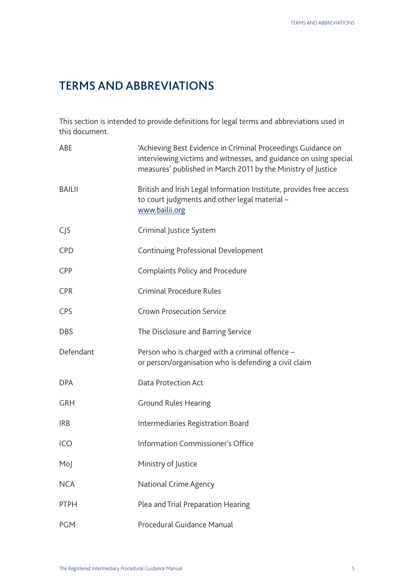## TERMS AND ABBREVIATIONS

This section is intended to provide definitions for legal terms and abbreviations used in this document.

| ABE              | 'Achieving Best Evidence in Criminal Proceedings Guidance on<br>interviewing victims and witnesses, and guidance on using special<br>measures' published in March 2011 by the Ministry of Justice |
|------------------|---------------------------------------------------------------------------------------------------------------------------------------------------------------------------------------------------|
| <b>BAILII</b>    | British and Irish Legal Information Institute, provides free access<br>to court judgments and other legal material -<br>www.bailii.org                                                            |
| C <sub>1</sub> S | Criminal Justice System                                                                                                                                                                           |
| <b>CPD</b>       | Continuing Professional Development                                                                                                                                                               |
| <b>CPP</b>       | <b>Complaints Policy and Procedure</b>                                                                                                                                                            |
| <b>CPR</b>       | <b>Criminal Procedure Rules</b>                                                                                                                                                                   |
| <b>CPS</b>       | <b>Crown Prosecution Service</b>                                                                                                                                                                  |
| <b>DBS</b>       | The Disclosure and Barring Service                                                                                                                                                                |
| Defendant        | Person who is charged with a criminal offence -<br>or person/organisation who is defending a civil claim                                                                                          |
| <b>DPA</b>       | Data Protection Act                                                                                                                                                                               |
| <b>GRH</b>       | <b>Ground Rules Hearing</b>                                                                                                                                                                       |
| <b>IRB</b>       | Intermediaries Registration Board                                                                                                                                                                 |
| ICO              | Information Commissioner's Office                                                                                                                                                                 |
| Moj              | Ministry of Justice                                                                                                                                                                               |
| <b>NCA</b>       | National Crime Agency                                                                                                                                                                             |
| <b>PTPH</b>      | Plea and Trial Preparation Hearing                                                                                                                                                                |
| <b>PGM</b>       | Procedural Guidance Manual                                                                                                                                                                        |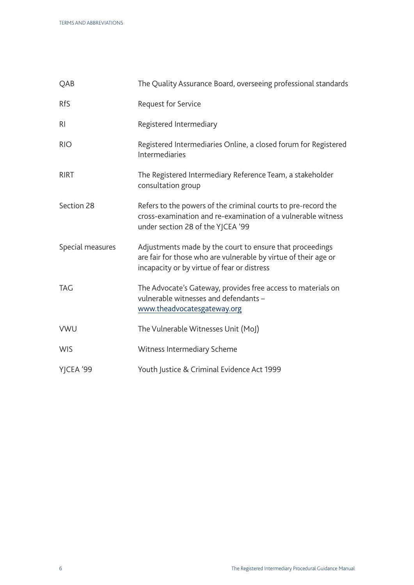| QAB              | The Quality Assurance Board, overseeing professional standards                                                                                                             |
|------------------|----------------------------------------------------------------------------------------------------------------------------------------------------------------------------|
| <b>RfS</b>       | Request for Service                                                                                                                                                        |
| R <sub>l</sub>   | Registered Intermediary                                                                                                                                                    |
| <b>RIO</b>       | Registered Intermediaries Online, a closed forum for Registered<br>Intermediaries                                                                                          |
| <b>RIRT</b>      | The Registered Intermediary Reference Team, a stakeholder<br>consultation group                                                                                            |
| Section 28       | Refers to the powers of the criminal courts to pre-record the<br>cross-examination and re-examination of a vulnerable witness<br>under section 28 of the YJCEA '99         |
| Special measures | Adjustments made by the court to ensure that proceedings<br>are fair for those who are vulnerable by virtue of their age or<br>incapacity or by virtue of fear or distress |
| <b>TAG</b>       | The Advocate's Gateway, provides free access to materials on<br>vulnerable witnesses and defendants -<br>www.theadvocatesgateway.org                                       |
| <b>VWU</b>       | The Vulnerable Witnesses Unit (MoJ)                                                                                                                                        |
| <b>WIS</b>       | Witness Intermediary Scheme                                                                                                                                                |
| YJCEA '99        | Youth Justice & Criminal Evidence Act 1999                                                                                                                                 |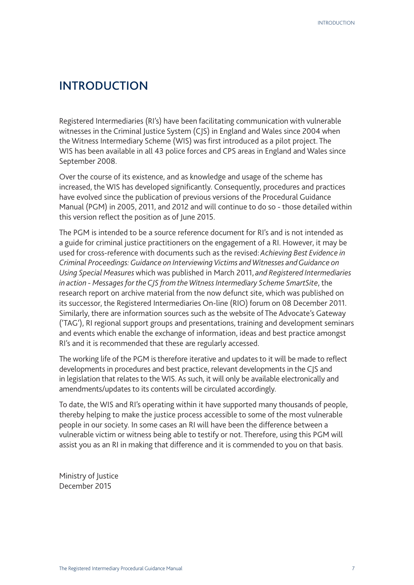## INTRODUCTION

Registered Intermediaries (RI's) have been facilitating communication with vulnerable witnesses in the Criminal Justice System (CJS) in England and Wales since 2004 when the Witness Intermediary Scheme (WIS) was first introduced as a pilot project. The WIS has been available in all 43 police forces and CPS areas in England and Wales since September 2008.

Over the course of its existence, and as knowledge and usage of the scheme has increased, the WIS has developed significantly. Consequently, procedures and practices have evolved since the publication of previous versions of the Procedural Guidance Manual (PGM) in 2005, 2011, and 2012 and will continue to do so - those detailed within this version reflect the position as of June 2015.

The PGM is intended to be a source reference document for RI's and is not intended as a guide for criminal justice practitioners on the engagement of a RI. However, it may be used for cross-reference with documents such as the revised: *Achieving Best Evidence in Criminal Proceedings: Guidance on Interviewing Victims and Witnesses and Guidance on Using Special Measures* which was published in March 2011, *and Registered Intermediaries in action - Messages for the CJS from the Witness Intermediary Scheme SmartSite*, the research report on archive material from the now defunct site, which was published on its successor, the Registered Intermediaries On-line (RIO) forum on 08 December 2011. Similarly, there are information sources such as the website of The Advocate's Gateway ('TAG'), RI regional support groups and presentations, training and development seminars and events which enable the exchange of information, ideas and best practice amongst RI's and it is recommended that these are regularly accessed.

The working life of the PGM is therefore iterative and updates to it will be made to reflect developments in procedures and best practice, relevant developments in the CJS and in legislation that relates to the WIS. As such, it will only be available electronically and amendments/updates to its contents will be circulated accordingly.

To date, the WIS and RI's operating within it have supported many thousands of people, thereby helping to make the justice process accessible to some of the most vulnerable people in our society. In some cases an RI will have been the difference between a vulnerable victim or witness being able to testify or not. Therefore, using this PGM will assist you as an RI in making that difference and it is commended to you on that basis.

Ministry of Justice December 2015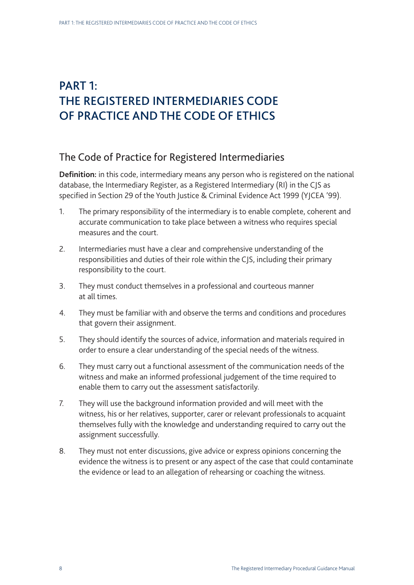## PART 1: THE REGISTERED INTERMEDIARIES CODE OF PRACTICE AND THE CODE OF ETHICS

## The Code of Practice for Registered Intermediaries

**Definition:** in this code, intermediary means any person who is registered on the national database, the Intermediary Register, as a Registered Intermediary (RI) in the CJS as specified in Section 29 of the Youth Justice & Criminal Evidence Act 1999 (YJCEA '99).

- 1. The primary responsibility of the intermediary is to enable complete, coherent and accurate communication to take place between a witness who requires special measures and the court.
- 2. Intermediaries must have a clear and comprehensive understanding of the responsibilities and duties of their role within the CJS, including their primary responsibility to the court.
- 3. They must conduct themselves in a professional and courteous manner at all times.
- 4. They must be familiar with and observe the terms and conditions and procedures that govern their assignment.
- 5. They should identify the sources of advice, information and materials required in order to ensure a clear understanding of the special needs of the witness.
- 6. They must carry out a functional assessment of the communication needs of the witness and make an informed professional judgement of the time required to enable them to carry out the assessment satisfactorily.
- 7. They will use the background information provided and will meet with the witness, his or her relatives, supporter, carer or relevant professionals to acquaint themselves fully with the knowledge and understanding required to carry out the assignment successfully.
- 8. They must not enter discussions, give advice or express opinions concerning the evidence the witness is to present or any aspect of the case that could contaminate the evidence or lead to an allegation of rehearsing or coaching the witness.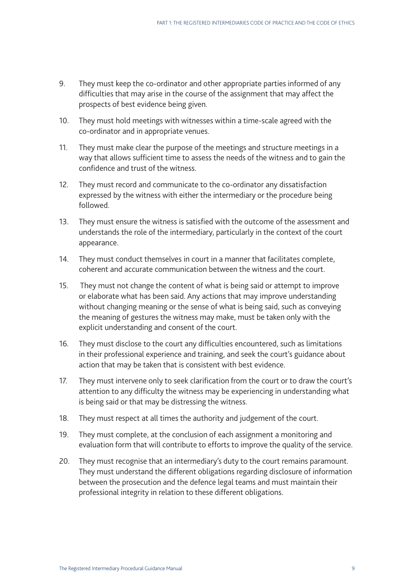- 9. They must keep the co-ordinator and other appropriate parties informed of any difficulties that may arise in the course of the assignment that may affect the prospects of best evidence being given.
- 10. They must hold meetings with witnesses within a time-scale agreed with the co-ordinator and in appropriate venues.
- 11. They must make clear the purpose of the meetings and structure meetings in a way that allows sufficient time to assess the needs of the witness and to gain the confidence and trust of the witness.
- 12. They must record and communicate to the co-ordinator any dissatisfaction expressed by the witness with either the intermediary or the procedure being followed.
- 13. They must ensure the witness is satisfied with the outcome of the assessment and understands the role of the intermediary, particularly in the context of the court appearance.
- 14. They must conduct themselves in court in a manner that facilitates complete, coherent and accurate communication between the witness and the court.
- 15. They must not change the content of what is being said or attempt to improve or elaborate what has been said. Any actions that may improve understanding without changing meaning or the sense of what is being said, such as conveying the meaning of gestures the witness may make, must be taken only with the explicit understanding and consent of the court.
- 16. They must disclose to the court any difficulties encountered, such as limitations in their professional experience and training, and seek the court's guidance about action that may be taken that is consistent with best evidence.
- 17. They must intervene only to seek clarification from the court or to draw the court's attention to any difficulty the witness may be experiencing in understanding what is being said or that may be distressing the witness.
- 18. They must respect at all times the authority and judgement of the court.
- 19. They must complete, at the conclusion of each assignment a monitoring and evaluation form that will contribute to efforts to improve the quality of the service.
- 20. They must recognise that an intermediary's duty to the court remains paramount. They must understand the different obligations regarding disclosure of information between the prosecution and the defence legal teams and must maintain their professional integrity in relation to these different obligations.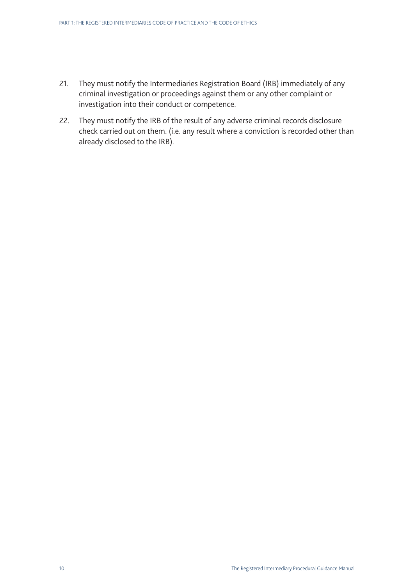- 21. They must notify the Intermediaries Registration Board (IRB) immediately of any criminal investigation or proceedings against them or any other complaint or investigation into their conduct or competence.
- 22. They must notify the IRB of the result of any adverse criminal records disclosure check carried out on them. (i.e. any result where a conviction is recorded other than already disclosed to the IRB).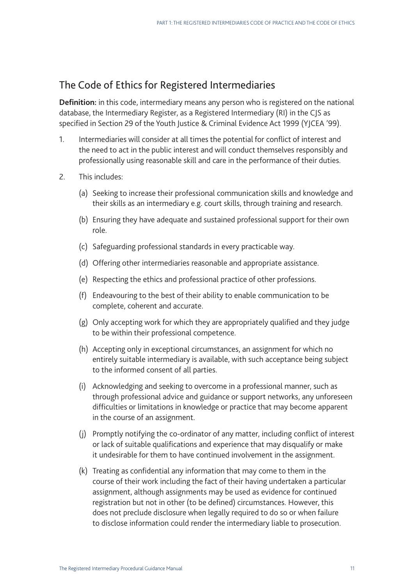## The Code of Ethics for Registered Intermediaries

**Definition:** in this code, intermediary means any person who is registered on the national database, the Intermediary Register, as a Registered Intermediary (RI) in the CJS as specified in Section 29 of the Youth Justice & Criminal Evidence Act 1999 (YJCEA '99).

- 1. Intermediaries will consider at all times the potential for conflict of interest and the need to act in the public interest and will conduct themselves responsibly and professionally using reasonable skill and care in the performance of their duties.
- 2. This includes:
	- (a) Seeking to increase their professional communication skills and knowledge and their skills as an intermediary e.g. court skills, through training and research.
	- (b) Ensuring they have adequate and sustained professional support for their own role.
	- (c) Safeguarding professional standards in every practicable way.
	- (d) Offering other intermediaries reasonable and appropriate assistance.
	- (e) Respecting the ethics and professional practice of other professions.
	- (f) Endeavouring to the best of their ability to enable communication to be complete, coherent and accurate.
	- (g) Only accepting work for which they are appropriately qualified and they judge to be within their professional competence.
	- (h) Accepting only in exceptional circumstances, an assignment for which no entirely suitable intermediary is available, with such acceptance being subject to the informed consent of all parties.
	- (i) Acknowledging and seeking to overcome in a professional manner, such as through professional advice and guidance or support networks, any unforeseen difficulties or limitations in knowledge or practice that may become apparent in the course of an assignment.
	- (j) Promptly notifying the co-ordinator of any matter, including conflict of interest or lack of suitable qualifications and experience that may disqualify or make it undesirable for them to have continued involvement in the assignment.
	- (k) Treating as confidential any information that may come to them in the course of their work including the fact of their having undertaken a particular assignment, although assignments may be used as evidence for continued registration but not in other (to be defined) circumstances. However, this does not preclude disclosure when legally required to do so or when failure to disclose information could render the intermediary liable to prosecution.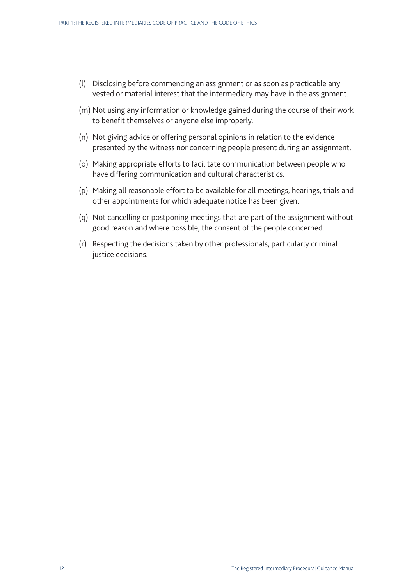- (l) Disclosing before commencing an assignment or as soon as practicable any vested or material interest that the intermediary may have in the assignment.
- (m) Not using any information or knowledge gained during the course of their work to benefit themselves or anyone else improperly.
- (n) Not giving advice or offering personal opinions in relation to the evidence presented by the witness nor concerning people present during an assignment.
- (o) Making appropriate efforts to facilitate communication between people who have differing communication and cultural characteristics.
- (p) Making all reasonable effort to be available for all meetings, hearings, trials and other appointments for which adequate notice has been given.
- (q) Not cancelling or postponing meetings that are part of the assignment without good reason and where possible, the consent of the people concerned.
- (r) Respecting the decisions taken by other professionals, particularly criminal justice decisions.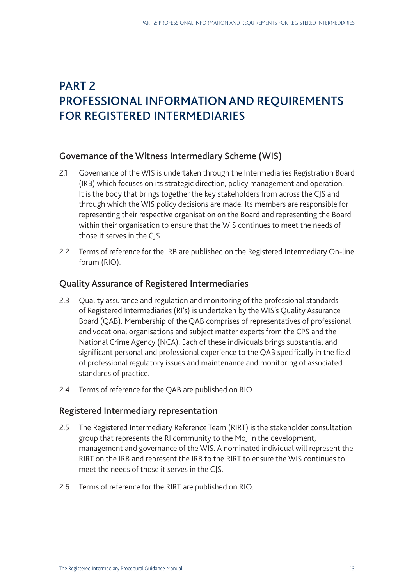## PART 2 PROFESSIONAL INFORMATION AND REQUIREMENTS FOR REGISTERED INTERMEDIARIES

### Governance of the Witness Intermediary Scheme (WIS)

- 2.1 Governance of the WIS is undertaken through the Intermediaries Registration Board (IRB) which focuses on its strategic direction, policy management and operation. It is the body that brings together the key stakeholders from across the CJS and through which the WIS policy decisions are made. Its members are responsible for representing their respective organisation on the Board and representing the Board within their organisation to ensure that the WIS continues to meet the needs of those it serves in the CJS.
- 2.2 Terms of reference for the IRB are published on the Registered Intermediary On-line forum (RIO).

### Quality Assurance of Registered Intermediaries

- 2.3 Ouality assurance and regulation and monitoring of the professional standards of Registered Intermediaries (RI's) is undertaken by the WIS's Quality Assurance Board (QAB). Membership of the QAB comprises of representatives of professional and vocational organisations and subject matter experts from the CPS and the National Crime Agency (NCA). Each of these individuals brings substantial and significant personal and professional experience to the QAB specifically in the field of professional regulatory issues and maintenance and monitoring of associated standards of practice.
- 2.4 Terms of reference for the QAB are published on RIO.

### Registered Intermediary representation

- 2.5 The Registered Intermediary Reference Team (RIRT) is the stakeholder consultation group that represents the RI community to the MoJ in the development, management and governance of the WIS. A nominated individual will represent the RIRT on the IRB and represent the IRB to the RIRT to ensure the WIS continues to meet the needs of those it serves in the CJS.
- 2.6 Terms of reference for the RIRT are published on RIO.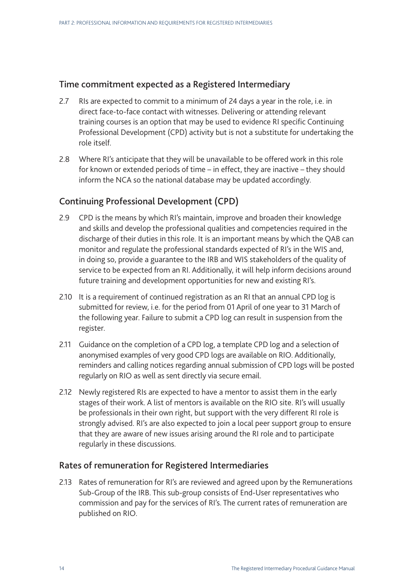### Time commitment expected as a Registered Intermediary

- 2.7 RIs are expected to commit to a minimum of 24 days a year in the role, i.e. in direct face-to-face contact with witnesses. Delivering or attending relevant training courses is an option that may be used to evidence RI specific Continuing Professional Development (CPD) activity but is not a substitute for undertaking the role itself.
- 2.8 Where RI's anticipate that they will be unavailable to be offered work in this role for known or extended periods of time – in effect, they are inactive – they should inform the NCA so the national database may be updated accordingly.

## Continuing Professional Development (CPD)

- 2.9 CPD is the means by which RI's maintain, improve and broaden their knowledge and skills and develop the professional qualities and competencies required in the discharge of their duties in this role. It is an important means by which the QAB can monitor and regulate the professional standards expected of RI's in the WIS and, in doing so, provide a guarantee to the IRB and WIS stakeholders of the quality of service to be expected from an RI. Additionally, it will help inform decisions around future training and development opportunities for new and existing RI's.
- 2.10 It is a requirement of continued registration as an RI that an annual CPD log is submitted for review, i.e. for the period from 01 April of one year to 31 March of the following year. Failure to submit a CPD log can result in suspension from the register.
- 2.11 Guidance on the completion of a CPD log, a template CPD log and a selection of anonymised examples of very good CPD logs are available on RIO. Additionally, reminders and calling notices regarding annual submission of CPD logs will be posted regularly on RIO as well as sent directly via secure email.
- 2.12 Newly registered RIs are expected to have a mentor to assist them in the early stages of their work. A list of mentors is available on the RIO site. RI's will usually be professionals in their own right, but support with the very different RI role is strongly advised. RI's are also expected to join a local peer support group to ensure that they are aware of new issues arising around the RI role and to participate regularly in these discussions.

### Rates of remuneration for Registered Intermediaries

2.13 Rates of remuneration for RI's are reviewed and agreed upon by the Remunerations Sub-Group of the IRB. This sub-group consists of End-User representatives who commission and pay for the services of RI's. The current rates of remuneration are published on RIO.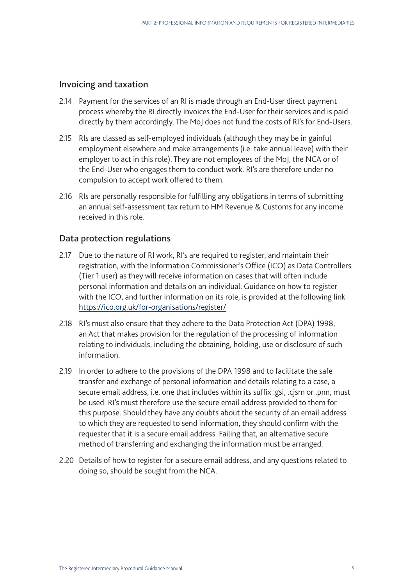## Invoicing and taxation

- 2.14 Payment for the services of an RI is made through an End-User direct payment process whereby the RI directly invoices the End-User for their services and is paid directly by them accordingly. The MoJ does not fund the costs of RI's for End-Users.
- 2.15 RIs are classed as self-employed individuals (although they may be in gainful employment elsewhere and make arrangements (i.e. take annual leave) with their employer to act in this role). They are not employees of the MoJ, the NCA or of the End-User who engages them to conduct work. RI's are therefore under no compulsion to accept work offered to them.
- 2.16 RIs are personally responsible for fulfilling any obligations in terms of submitting an annual self-assessment tax return to HM Revenue & Customs for any income received in this role.

## Data protection regulations

- 2.17 Due to the nature of RI work, RI's are required to register, and maintain their registration, with the Information Commissioner's Office (ICO) as Data Controllers (Tier 1 user) as they will receive information on cases that will often include personal information and details on an individual. Guidance on how to register with the ICO, and further information on its role, is provided at the following link <https://ico.org.uk/for-organisations/register>/
- 2.18 RI's must also ensure that they adhere to the Data Protection Act (DPA) 1998, an Act that makes provision for the regulation of the processing of information relating to individuals, including the obtaining, holding, use or disclosure of such information.
- 2.19 In order to adhere to the provisions of the DPA 1998 and to facilitate the safe transfer and exchange of personal information and details relating to a case, a secure email address, i.e. one that includes within its suffix .gsi, .cjsm or .pnn, must be used. RI's must therefore use the secure email address provided to them for this purpose. Should they have any doubts about the security of an email address to which they are requested to send information, they should confirm with the requester that it is a secure email address. Failing that, an alternative secure method of transferring and exchanging the information must be arranged.
- 2.20 Details of how to register for a secure email address, and any questions related to doing so, should be sought from the NCA.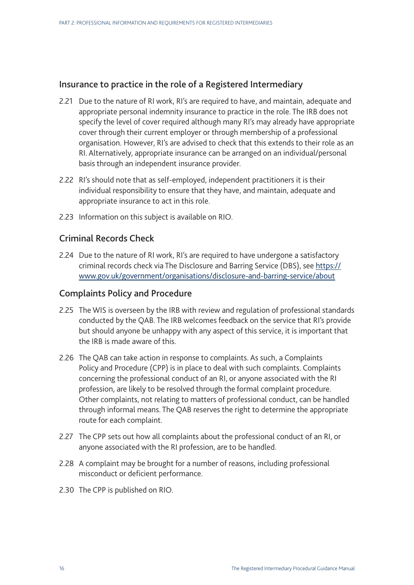## Insurance to practice in the role of a Registered Intermediary

- 2.21 Due to the nature of RI work, RI's are required to have, and maintain, adequate and appropriate personal indemnity insurance to practice in the role. The IRB does not specify the level of cover required although many RI's may already have appropriate cover through their current employer or through membership of a professional organisation. However, RI's are advised to check that this extends to their role as an RI. Alternatively, appropriate insurance can be arranged on an individual/personal basis through an independent insurance provider.
- 2.22 RI's should note that as self-employed, independent practitioners it is their individual responsibility to ensure that they have, and maintain, adequate and appropriate insurance to act in this role.
- 2.23 Information on this subject is available on RIO.

## Criminal Records Check

2.24 Due to the nature of RI work, RI's are required to have undergone a satisfactory criminal records check via The Disclosure and Barring Service (DBS), see [https://](https://www.gov.uk/government/organisations/disclosure-and-barring-service/about) [www.gov.uk/government/organisations/disclosure-and-barring-service/about](https://www.gov.uk/government/organisations/disclosure-and-barring-service/about)

#### Complaints Policy and Procedure

- 2.25 The WIS is overseen by the IRB with review and regulation of professional standards conducted by the QAB. The IRB welcomes feedback on the service that RI's provide but should anyone be unhappy with any aspect of this service, it is important that the IRB is made aware of this.
- 2.26 The QAB can take action in response to complaints. As such, a Complaints Policy and Procedure (CPP) is in place to deal with such complaints. Complaints concerning the professional conduct of an RI, or anyone associated with the RI profession, are likely to be resolved through the formal complaint procedure. Other complaints, not relating to matters of professional conduct, can be handled through informal means. The QAB reserves the right to determine the appropriate route for each complaint.
- 2.27 The CPP sets out how all complaints about the professional conduct of an RI, or anyone associated with the RI profession, are to be handled.
- 2.28 A complaint may be brought for a number of reasons, including professional misconduct or deficient performance.
- 2.30 The CPP is published on RIO.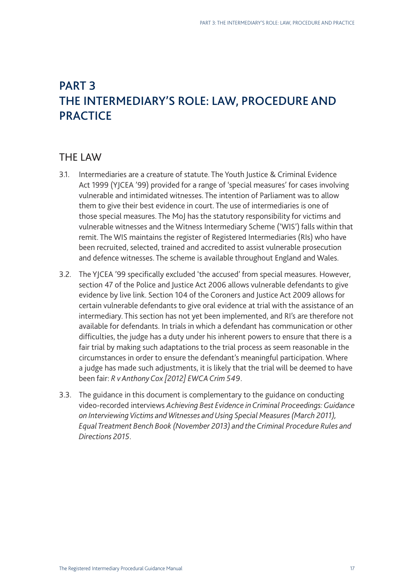## PART 3 THE INTERMEDIARY'S ROLE: LAW, PROCEDURE AND **PRACTICE**

## THE LAW

- 3.1. Intermediaries are a creature of statute. The Youth Justice & Criminal Evidence Act 1999 (YJCEA '99) provided for a range of 'special measures' for cases involving vulnerable and intimidated witnesses. The intention of Parliament was to allow them to give their best evidence in court. The use of intermediaries is one of those special measures. The MoJ has the statutory responsibility for victims and vulnerable witnesses and the Witness Intermediary Scheme ('WIS') falls within that remit. The WIS maintains the register of Registered Intermediaries (RIs) who have been recruited, selected, trained and accredited to assist vulnerable prosecution and defence witnesses. The scheme is available throughout England and Wales.
- 3.2. The YJCEA '99 specifically excluded 'the accused' from special measures. However, section 47 of the Police and Justice Act 2006 allows vulnerable defendants to give evidence by live link. Section 104 of the Coroners and Justice Act 2009 allows for certain vulnerable defendants to give oral evidence at trial with the assistance of an intermediary. This section has not yet been implemented, and RI's are therefore not available for defendants. In trials in which a defendant has communication or other difficulties, the judge has a duty under his inherent powers to ensure that there is a fair trial by making such adaptations to the trial process as seem reasonable in the circumstances in order to ensure the defendant's meaningful participation. Where a judge has made such adjustments, it is likely that the trial will be deemed to have been fair: *R v Anthony Cox [2012] EWCA Crim 549*.
- 3.3. The guidance in this document is complementary to the guidance on conducting video-recorded interviews *Achieving Best Evidence in Criminal Proceedings: Guidance on Interviewing Victims and Witnesses and Using Special Measures (March 2011), Equal Treatment Bench Book (November 2013) and the Criminal Procedure Rules and Directions 2015*.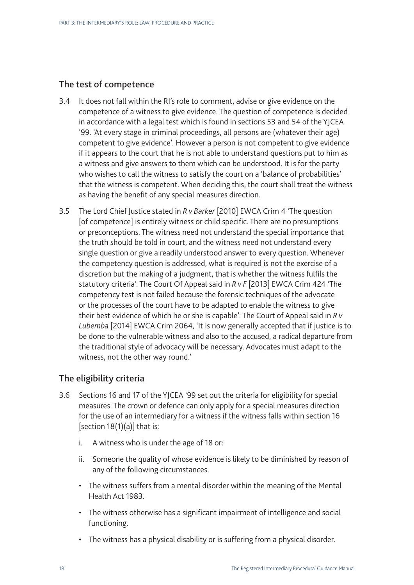## The test of competence

- 3.4 It does not fall within the RI's role to comment, advise or give evidence on the competence of a witness to give evidence. The question of competence is decided in accordance with a legal test which is found in sections 53 and 54 of the YJCEA '99. 'At every stage in criminal proceedings, all persons are (whatever their age) competent to give evidence'. However a person is not competent to give evidence if it appears to the court that he is not able to understand questions put to him as a witness and give answers to them which can be understood. It is for the party who wishes to call the witness to satisfy the court on a 'balance of probabilities' that the witness is competent. When deciding this, the court shall treat the witness as having the benefit of any special measures direction.
- 3.5 The Lord Chief Justice stated in *R v Barker* [2010] EWCA Crim 4 'The question [of competence] is entirely witness or child specific. There are no presumptions or preconceptions. The witness need not understand the special importance that the truth should be told in court, and the witness need not understand every single question or give a readily understood answer to every question. Whenever the competency question is addressed, what is required is not the exercise of a discretion but the making of a judgment, that is whether the witness fulfils the statutory criteria'. The Court Of Appeal said in *R v F* [2013] EWCA Crim 424 'The competency test is not failed because the forensic techniques of the advocate or the processes of the court have to be adapted to enable the witness to give their best evidence of which he or she is capable'. The Court of Appeal said in *R v Lubemba* [2014] EWCA Crim 2064, 'It is now generally accepted that if justice is to be done to the vulnerable witness and also to the accused, a radical departure from the traditional style of advocacy will be necessary. Advocates must adapt to the witness, not the other way round.'

## The eligibility criteria

- 3.6 Sections 16 and 17 of the YJCEA '99 set out the criteria for eligibility for special measures. The crown or defence can only apply for a special measures direction for the use of an intermediary for a witness if the witness falls within section 16 [section  $18(1)(a)$ ] that is:
	- i. A witness who is under the age of 18 or:
	- ii. Someone the quality of whose evidence is likely to be diminished by reason of any of the following circumstances.
	- The witness suffers from a mental disorder within the meaning of the Mental Health Act 1983.
	- The witness otherwise has a significant impairment of intelligence and social functioning.
	- The witness has a physical disability or is suffering from a physical disorder.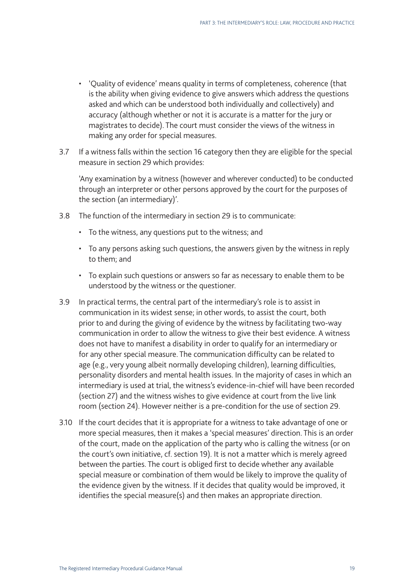- 'Quality of evidence' means quality in terms of completeness, coherence (that is the ability when giving evidence to give answers which address the questions asked and which can be understood both individually and collectively) and accuracy (although whether or not it is accurate is a matter for the jury or magistrates to decide). The court must consider the views of the witness in making any order for special measures.
- 3.7 If a witness falls within the section 16 category then they are eligible for the special measure in section 29 which provides:

'Any examination by a witness (however and wherever conducted) to be conducted through an interpreter or other persons approved by the court for the purposes of the section (an intermediary)'.

- 3.8 The function of the intermediary in section 29 is to communicate:
	- To the witness, any questions put to the witness; and
	- To any persons asking such questions, the answers given by the witness in reply to them; and
	- To explain such questions or answers so far as necessary to enable them to be understood by the witness or the questioner.
- 3.9 In practical terms, the central part of the intermediary's role is to assist in communication in its widest sense; in other words, to assist the court, both prior to and during the giving of evidence by the witness by facilitating two-way communication in order to allow the witness to give their best evidence. A witness does not have to manifest a disability in order to qualify for an intermediary or for any other special measure. The communication difficulty can be related to age (e.g., very young albeit normally developing children), learning difficulties, personality disorders and mental health issues. In the majority of cases in which an intermediary is used at trial, the witness's evidence-in-chief will have been recorded (section 27) and the witness wishes to give evidence at court from the live link room (section 24). However neither is a pre-condition for the use of section 29.
- 3.10 If the court decides that it is appropriate for a witness to take advantage of one or more special measures, then it makes a 'special measures' direction. This is an order of the court, made on the application of the party who is calling the witness (or on the court's own initiative, cf. section 19). It is not a matter which is merely agreed between the parties. The court is obliged first to decide whether any available special measure or combination of them would be likely to improve the quality of the evidence given by the witness. If it decides that quality would be improved, it identifies the special measure(s) and then makes an appropriate direction.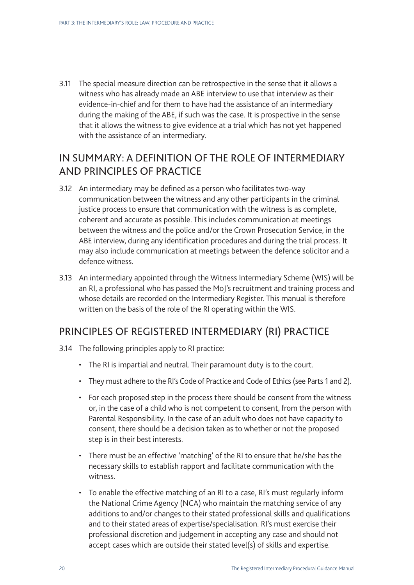3.11 The special measure direction can be retrospective in the sense that it allows a witness who has already made an ABE interview to use that interview as their evidence-in-chief and for them to have had the assistance of an intermediary during the making of the ABE, if such was the case. It is prospective in the sense that it allows the witness to give evidence at a trial which has not yet happened with the assistance of an intermediary.

## IN SUMMARY: A DEFINITION OF THE ROLE OF INTERMEDIARY AND PRINCIPLES OF PRACTICE

- 3.12 An intermediary may be defined as a person who facilitates two-way communication between the witness and any other participants in the criminal justice process to ensure that communication with the witness is as complete, coherent and accurate as possible. This includes communication at meetings between the witness and the police and/or the Crown Prosecution Service, in the ABE interview, during any identification procedures and during the trial process. It may also include communication at meetings between the defence solicitor and a defence witness.
- 3.13 An intermediary appointed through the Witness Intermediary Scheme (WIS) will be an RI, a professional who has passed the MoJ's recruitment and training process and whose details are recorded on the Intermediary Register. This manual is therefore written on the basis of the role of the RI operating within the WIS.

## PRINCIPLES OF REGISTERED INTERMEDIARY (RI) PRACTICE

- 3.14 The following principles apply to RI practice:
	- The RI is impartial and neutral. Their paramount duty is to the court.
	- They must adhere to the RI's Code of Practice and Code of Ethics (see Parts 1 and 2).
	- For each proposed step in the process there should be consent from the witness or, in the case of a child who is not competent to consent, from the person with Parental Responsibility. In the case of an adult who does not have capacity to consent, there should be a decision taken as to whether or not the proposed step is in their best interests.
	- There must be an effective 'matching' of the RI to ensure that he/she has the necessary skills to establish rapport and facilitate communication with the witness.
	- To enable the effective matching of an RI to a case, RI's must regularly inform the National Crime Agency (NCA) who maintain the matching service of any additions to and/or changes to their stated professional skills and qualifications and to their stated areas of expertise/specialisation. RI's must exercise their professional discretion and judgement in accepting any case and should not accept cases which are outside their stated level(s) of skills and expertise.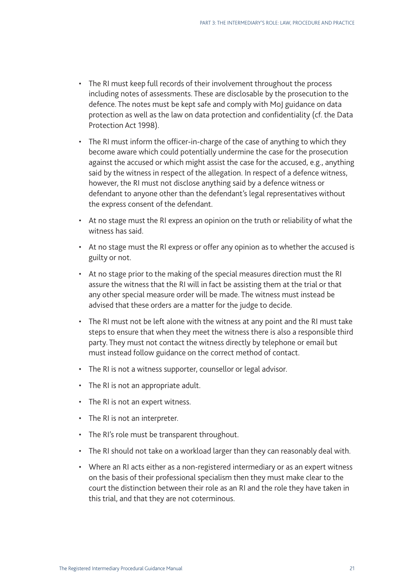- The RI must keep full records of their involvement throughout the process including notes of assessments. These are disclosable by the prosecution to the defence. The notes must be kept safe and comply with MoJ guidance on data protection as well as the law on data protection and confidentiality (cf. the Data Protection Act 1998).
- The RI must inform the officer-in-charge of the case of anything to which they become aware which could potentially undermine the case for the prosecution against the accused or which might assist the case for the accused, e.g., anything said by the witness in respect of the allegation. In respect of a defence witness, however, the RI must not disclose anything said by a defence witness or defendant to anyone other than the defendant's legal representatives without the express consent of the defendant.
- At no stage must the RI express an opinion on the truth or reliability of what the witness has said.
- At no stage must the RI express or offer any opinion as to whether the accused is guilty or not.
- At no stage prior to the making of the special measures direction must the RI assure the witness that the RI will in fact be assisting them at the trial or that any other special measure order will be made. The witness must instead be advised that these orders are a matter for the judge to decide.
- The RI must not be left alone with the witness at any point and the RI must take steps to ensure that when they meet the witness there is also a responsible third party. They must not contact the witness directly by telephone or email but must instead follow guidance on the correct method of contact.
- The RI is not a witness supporter, counsellor or legal advisor.
- The RI is not an appropriate adult.
- The RI is not an expert witness.
- The RI is not an interpreter.
- The RI's role must be transparent throughout.
- The RI should not take on a workload larger than they can reasonably deal with.
- Where an RI acts either as a non-registered intermediary or as an expert witness on the basis of their professional specialism then they must make clear to the court the distinction between their role as an RI and the role they have taken in this trial, and that they are not coterminous.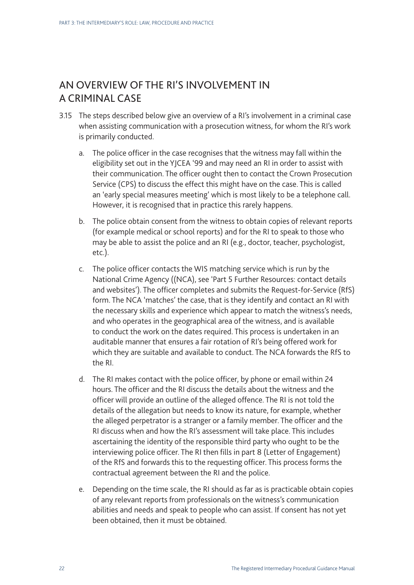## AN OVERVIEW OF THE RI'S INVOLVEMENT IN A CRIMINAL CASE

- 3.15 The steps described below give an overview of a RI's involvement in a criminal case when assisting communication with a prosecution witness, for whom the RI's work is primarily conducted.
	- a. The police officer in the case recognises that the witness may fall within the eligibility set out in the YJCEA '99 and may need an RI in order to assist with their communication. The officer ought then to contact the Crown Prosecution Service (CPS) to discuss the effect this might have on the case. This is called an 'early special measures meeting' which is most likely to be a telephone call. However, it is recognised that in practice this rarely happens.
	- b. The police obtain consent from the witness to obtain copies of relevant reports (for example medical or school reports) and for the RI to speak to those who may be able to assist the police and an RI (e.g., doctor, teacher, psychologist, etc.).
	- c. The police officer contacts the WIS matching service which is run by the National Crime Agency ((NCA), see 'Part 5 Further Resources: contact details and websites'). The officer completes and submits the Request-for-Service (RfS) form. The NCA 'matches' the case, that is they identify and contact an RI with the necessary skills and experience which appear to match the witness's needs, and who operates in the geographical area of the witness, and is available to conduct the work on the dates required. This process is undertaken in an auditable manner that ensures a fair rotation of RI's being offered work for which they are suitable and available to conduct. The NCA forwards the RfS to the RI.
	- d. The RI makes contact with the police officer, by phone or email within 24 hours. The officer and the RI discuss the details about the witness and the officer will provide an outline of the alleged offence. The RI is not told the details of the allegation but needs to know its nature, for example, whether the alleged perpetrator is a stranger or a family member. The officer and the RI discuss when and how the RI's assessment will take place. This includes ascertaining the identity of the responsible third party who ought to be the interviewing police officer. The RI then fills in part 8 (Letter of Engagement) of the RfS and forwards this to the requesting officer. This process forms the contractual agreement between the RI and the police.
	- e. Depending on the time scale, the RI should as far as is practicable obtain copies of any relevant reports from professionals on the witness's communication abilities and needs and speak to people who can assist. If consent has not yet been obtained, then it must be obtained.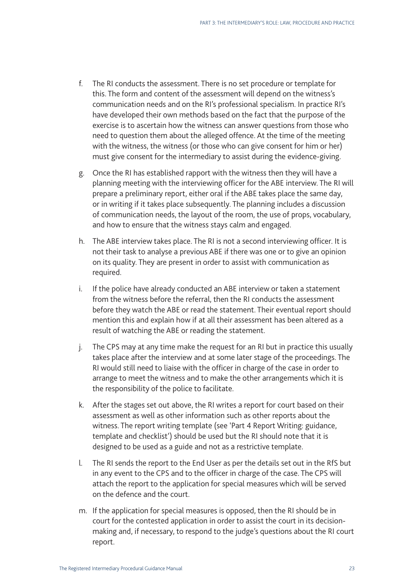- f. The RI conducts the assessment. There is no set procedure or template for this. The form and content of the assessment will depend on the witness's communication needs and on the RI's professional specialism. In practice RI's have developed their own methods based on the fact that the purpose of the exercise is to ascertain how the witness can answer questions from those who need to question them about the alleged offence. At the time of the meeting with the witness, the witness (or those who can give consent for him or her) must give consent for the intermediary to assist during the evidence-giving.
- g. Once the RI has established rapport with the witness then they will have a planning meeting with the interviewing officer for the ABE interview. The RI will prepare a preliminary report, either oral if the ABE takes place the same day, or in writing if it takes place subsequently. The planning includes a discussion of communication needs, the layout of the room, the use of props, vocabulary, and how to ensure that the witness stays calm and engaged.
- h. The ABE interview takes place. The RI is not a second interviewing officer. It is not their task to analyse a previous ABE if there was one or to give an opinion on its quality. They are present in order to assist with communication as required.
- i. If the police have already conducted an ABE interview or taken a statement from the witness before the referral, then the RI conducts the assessment before they watch the ABE or read the statement. Their eventual report should mention this and explain how if at all their assessment has been altered as a result of watching the ABE or reading the statement.
- j. The CPS may at any time make the request for an RI but in practice this usually takes place after the interview and at some later stage of the proceedings. The RI would still need to liaise with the officer in charge of the case in order to arrange to meet the witness and to make the other arrangements which it is the responsibility of the police to facilitate.
- k. After the stages set out above, the RI writes a report for court based on their assessment as well as other information such as other reports about the witness. The report writing template (see 'Part 4 Report Writing: guidance, template and checklist') should be used but the RI should note that it is designed to be used as a guide and not as a restrictive template.
- l. The RI sends the report to the End User as per the details set out in the RfS but in any event to the CPS and to the officer in charge of the case. The CPS will attach the report to the application for special measures which will be served on the defence and the court.
- m. If the application for special measures is opposed, then the RI should be in court for the contested application in order to assist the court in its decisionmaking and, if necessary, to respond to the judge's questions about the RI court report.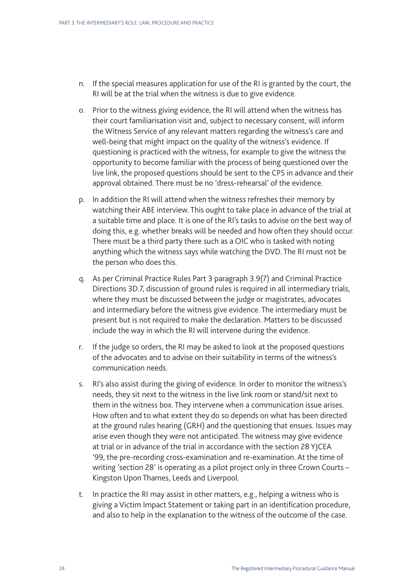- n. If the special measures application for use of the RI is granted by the court, the RI will be at the trial when the witness is due to give evidence.
- o. Prior to the witness giving evidence, the RI will attend when the witness has their court familiarisation visit and, subject to necessary consent, will inform the Witness Service of any relevant matters regarding the witness's care and well-being that might impact on the quality of the witness's evidence. If questioning is practiced with the witness, for example to give the witness the opportunity to become familiar with the process of being questioned over the live link, the proposed questions should be sent to the CPS in advance and their approval obtained. There must be no 'dress-rehearsal' of the evidence.
- p. In addition the RI will attend when the witness refreshes their memory by watching their ABE interview. This ought to take place in advance of the trial at a suitable time and place. It is one of the RI's tasks to advise on the best way of doing this, e.g. whether breaks will be needed and how often they should occur. There must be a third party there such as a OIC who is tasked with noting anything which the witness says while watching the DVD. The RI must not be the person who does this.
- q. As per Criminal Practice Rules Part 3 paragraph 3.9(7) and Criminal Practice Directions 3D.7, discussion of ground rules is required in all intermediary trials, where they must be discussed between the judge or magistrates, advocates and intermediary before the witness give evidence. The intermediary must be present but is not required to make the declaration. Matters to be discussed include the way in which the RI will intervene during the evidence.
- r. If the judge so orders, the RI may be asked to look at the proposed questions of the advocates and to advise on their suitability in terms of the witness's communication needs.
- s. RI's also assist during the giving of evidence. In order to monitor the witness's needs, they sit next to the witness in the live link room or stand/sit next to them in the witness box. They intervene when a communication issue arises. How often and to what extent they do so depends on what has been directed at the ground rules hearing (GRH) and the questioning that ensues. Issues may arise even though they were not anticipated. The witness may give evidence at trial or in advance of the trial in accordance with the section 28 YJCEA '99, the pre-recording cross-examination and re-examination. At the time of writing 'section 28' is operating as a pilot project only in three Crown Courts – Kingston Upon Thames, Leeds and Liverpool.
- t. In practice the RI may assist in other matters, e.g., helping a witness who is giving a Victim Impact Statement or taking part in an identification procedure, and also to help in the explanation to the witness of the outcome of the case.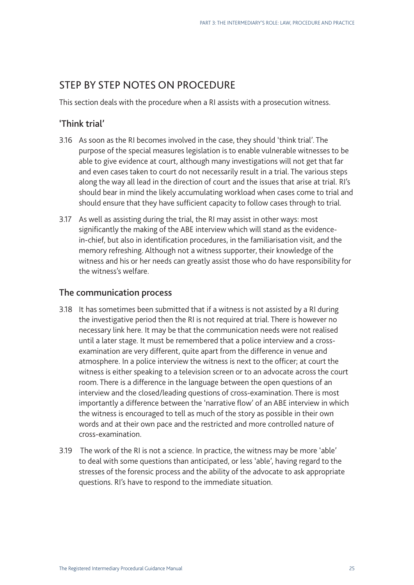## STEP BY STEP NOTES ON PROCEDURE

This section deals with the procedure when a RI assists with a prosecution witness.

## 'Think trial'

- 3.16 As soon as the RI becomes involved in the case, they should 'think trial'. The purpose of the special measures legislation is to enable vulnerable witnesses to be able to give evidence at court, although many investigations will not get that far and even cases taken to court do not necessarily result in a trial. The various steps along the way all lead in the direction of court and the issues that arise at trial. RI's should bear in mind the likely accumulating workload when cases come to trial and should ensure that they have sufficient capacity to follow cases through to trial.
- 3.17 As well as assisting during the trial, the RI may assist in other ways: most significantly the making of the ABE interview which will stand as the evidencein-chief, but also in identification procedures, in the familiarisation visit, and the memory refreshing. Although not a witness supporter, their knowledge of the witness and his or her needs can greatly assist those who do have responsibility for the witness's welfare.

### The communication process

- 3.18 It has sometimes been submitted that if a witness is not assisted by a RI during the investigative period then the RI is not required at trial. There is however no necessary link here. It may be that the communication needs were not realised until a later stage. It must be remembered that a police interview and a crossexamination are very different, quite apart from the difference in venue and atmosphere. In a police interview the witness is next to the officer; at court the witness is either speaking to a television screen or to an advocate across the court room. There is a difference in the language between the open questions of an interview and the closed/leading questions of cross-examination. There is most importantly a difference between the 'narrative flow' of an ABE interview in which the witness is encouraged to tell as much of the story as possible in their own words and at their own pace and the restricted and more controlled nature of cross-examination.
- 3.19 The work of the RI is not a science. In practice, the witness may be more 'able' to deal with some questions than anticipated, or less 'able', having regard to the stresses of the forensic process and the ability of the advocate to ask appropriate questions. RI's have to respond to the immediate situation.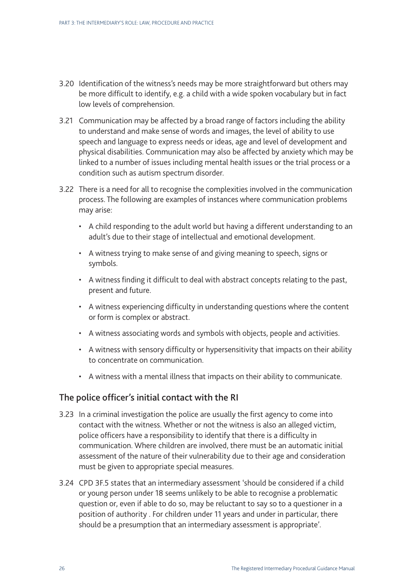- 3.20 Identification of the witness's needs may be more straightforward but others may be more difficult to identify, e.g. a child with a wide spoken vocabulary but in fact low levels of comprehension.
- 3.21 Communication may be affected by a broad range of factors including the ability to understand and make sense of words and images, the level of ability to use speech and language to express needs or ideas, age and level of development and physical disabilities. Communication may also be affected by anxiety which may be linked to a number of issues including mental health issues or the trial process or a condition such as autism spectrum disorder.
- 3.22 There is a need for all to recognise the complexities involved in the communication process. The following are examples of instances where communication problems may arise:
	- A child responding to the adult world but having a different understanding to an adult's due to their stage of intellectual and emotional development.
	- A witness trying to make sense of and giving meaning to speech, signs or symbols.
	- A witness finding it difficult to deal with abstract concepts relating to the past, present and future.
	- A witness experiencing difficulty in understanding questions where the content or form is complex or abstract.
	- A witness associating words and symbols with objects, people and activities.
	- A witness with sensory difficulty or hypersensitivity that impacts on their ability to concentrate on communication.
	- A witness with a mental illness that impacts on their ability to communicate.

### The police officer's initial contact with the RI

- 3.23 In a criminal investigation the police are usually the first agency to come into contact with the witness. Whether or not the witness is also an alleged victim, police officers have a responsibility to identify that there is a difficulty in communication. Where children are involved, there must be an automatic initial assessment of the nature of their vulnerability due to their age and consideration must be given to appropriate special measures.
- 3.24 CPD 3F.5 states that an intermediary assessment 'should be considered if a child or young person under 18 seems unlikely to be able to recognise a problematic question or, even if able to do so, may be reluctant to say so to a questioner in a position of authority . For children under 11 years and under in particular, there should be a presumption that an intermediary assessment is appropriate'.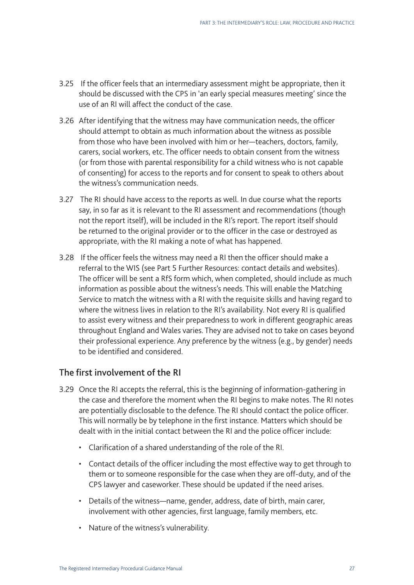- 3.25 If the officer feels that an intermediary assessment might be appropriate, then it should be discussed with the CPS in 'an early special measures meeting' since the use of an RI will affect the conduct of the case.
- 3.26 After identifying that the witness may have communication needs, the officer should attempt to obtain as much information about the witness as possible from those who have been involved with him or her—teachers, doctors, family, carers, social workers, etc. The officer needs to obtain consent from the witness (or from those with parental responsibility for a child witness who is not capable of consenting) for access to the reports and for consent to speak to others about the witness's communication needs.
- 3.27 The RI should have access to the reports as well. In due course what the reports say, in so far as it is relevant to the RI assessment and recommendations (though not the report itself), will be included in the RI's report. The report itself should be returned to the original provider or to the officer in the case or destroyed as appropriate, with the RI making a note of what has happened.
- 3.28 If the officer feels the witness may need a RI then the officer should make a referral to the WIS (see Part 5 Further Resources: contact details and websites). The officer will be sent a RfS form which, when completed, should include as much information as possible about the witness's needs. This will enable the Matching Service to match the witness with a RI with the requisite skills and having regard to where the witness lives in relation to the RI's availability. Not every RI is qualified to assist every witness and their preparedness to work in different geographic areas throughout England and Wales varies. They are advised not to take on cases beyond their professional experience. Any preference by the witness (e.g., by gender) needs to be identified and considered.

### The first involvement of the RI

- 3.29 Once the RI accepts the referral, this is the beginning of information-gathering in the case and therefore the moment when the RI begins to make notes. The RI notes are potentially disclosable to the defence. The RI should contact the police officer. This will normally be by telephone in the first instance. Matters which should be dealt with in the initial contact between the RI and the police officer include:
	- Clarification of a shared understanding of the role of the RI.
	- Contact details of the officer including the most effective way to get through to them or to someone responsible for the case when they are off-duty, and of the CPS lawyer and caseworker. These should be updated if the need arises.
	- Details of the witness—name, gender, address, date of birth, main carer, involvement with other agencies, first language, family members, etc.
	- Nature of the witness's vulnerability.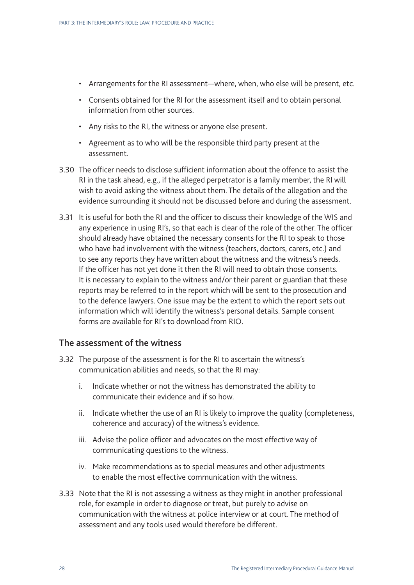- Arrangements for the RI assessment—where, when, who else will be present, etc.
- Consents obtained for the RI for the assessment itself and to obtain personal information from other sources.
- Any risks to the RI, the witness or anyone else present.
- Agreement as to who will be the responsible third party present at the assessment.
- 3.30 The officer needs to disclose sufficient information about the offence to assist the RI in the task ahead, e.g., if the alleged perpetrator is a family member, the RI will wish to avoid asking the witness about them. The details of the allegation and the evidence surrounding it should not be discussed before and during the assessment.
- 3.31 It is useful for both the RI and the officer to discuss their knowledge of the WIS and any experience in using RI's, so that each is clear of the role of the other. The officer should already have obtained the necessary consents for the RI to speak to those who have had involvement with the witness (teachers, doctors, carers, etc.) and to see any reports they have written about the witness and the witness's needs. If the officer has not yet done it then the RI will need to obtain those consents. It is necessary to explain to the witness and/or their parent or guardian that these reports may be referred to in the report which will be sent to the prosecution and to the defence lawyers. One issue may be the extent to which the report sets out information which will identify the witness's personal details. Sample consent forms are available for RI's to download from RIO.

#### The assessment of the witness

- 3.32 The purpose of the assessment is for the RI to ascertain the witness's communication abilities and needs, so that the RI may:
	- i. Indicate whether or not the witness has demonstrated the ability to communicate their evidence and if so how.
	- ii. Indicate whether the use of an RI is likely to improve the quality (completeness, coherence and accuracy) of the witness's evidence.
	- iii. Advise the police officer and advocates on the most effective way of communicating questions to the witness.
	- iv. Make recommendations as to special measures and other adjustments to enable the most effective communication with the witness.
- 3.33 Note that the RI is not assessing a witness as they might in another professional role, for example in order to diagnose or treat, but purely to advise on communication with the witness at police interview or at court. The method of assessment and any tools used would therefore be different.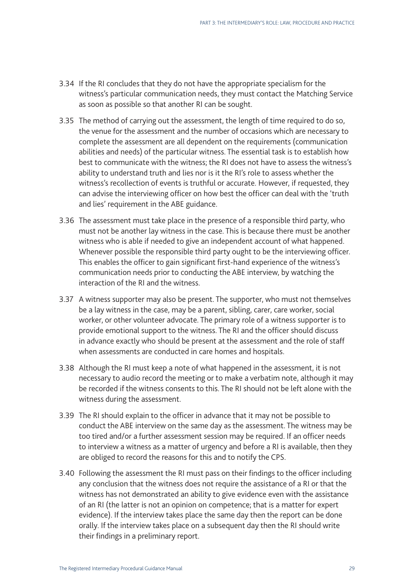- 3.34 If the RI concludes that they do not have the appropriate specialism for the witness's particular communication needs, they must contact the Matching Service as soon as possible so that another RI can be sought.
- 3.35 The method of carrying out the assessment, the length of time required to do so, the venue for the assessment and the number of occasions which are necessary to complete the assessment are all dependent on the requirements (communication abilities and needs) of the particular witness. The essential task is to establish how best to communicate with the witness; the RI does not have to assess the witness's ability to understand truth and lies nor is it the RI's role to assess whether the witness's recollection of events is truthful or accurate. However, if requested, they can advise the interviewing officer on how best the officer can deal with the 'truth and lies' requirement in the ABE guidance.
- 3.36 The assessment must take place in the presence of a responsible third party, who must not be another lay witness in the case. This is because there must be another witness who is able if needed to give an independent account of what happened. Whenever possible the responsible third party ought to be the interviewing officer. This enables the officer to gain significant first-hand experience of the witness's communication needs prior to conducting the ABE interview, by watching the interaction of the RI and the witness.
- 3.37 A witness supporter may also be present. The supporter, who must not themselves be a lay witness in the case, may be a parent, sibling, carer, care worker, social worker, or other volunteer advocate. The primary role of a witness supporter is to provide emotional support to the witness. The RI and the officer should discuss in advance exactly who should be present at the assessment and the role of staff when assessments are conducted in care homes and hospitals.
- 3.38 Although the RI must keep a note of what happened in the assessment, it is not necessary to audio record the meeting or to make a verbatim note, although it may be recorded if the witness consents to this. The RI should not be left alone with the witness during the assessment.
- 3.39 The RI should explain to the officer in advance that it may not be possible to conduct the ABE interview on the same day as the assessment. The witness may be too tired and/or a further assessment session may be required. If an officer needs to interview a witness as a matter of urgency and before a RI is available, then they are obliged to record the reasons for this and to notify the CPS.
- 3.40 Following the assessment the RI must pass on their findings to the officer including any conclusion that the witness does not require the assistance of a RI or that the witness has not demonstrated an ability to give evidence even with the assistance of an RI (the latter is not an opinion on competence; that is a matter for expert evidence). If the interview takes place the same day then the report can be done orally. If the interview takes place on a subsequent day then the RI should write their findings in a preliminary report.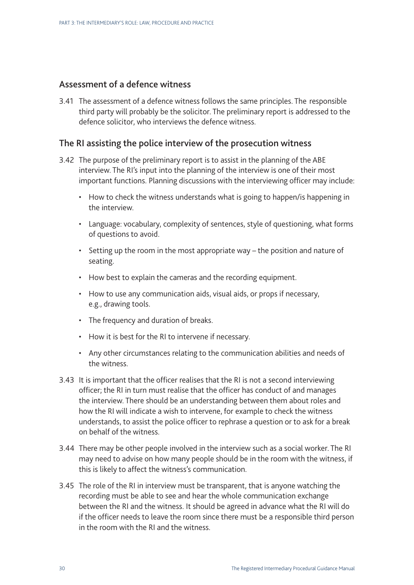### Assessment of a defence witness

3.41 The assessment of a defence witness follows the same principles. The responsible third party will probably be the solicitor. The preliminary report is addressed to the defence solicitor, who interviews the defence witness.

#### The RI assisting the police interview of the prosecution witness

- 3.42 The purpose of the preliminary report is to assist in the planning of the ABE interview. The RI's input into the planning of the interview is one of their most important functions. Planning discussions with the interviewing officer may include:
	- How to check the witness understands what is going to happen/is happening in the interview.
	- Language: vocabulary, complexity of sentences, style of questioning, what forms of questions to avoid.
	- Setting up the room in the most appropriate way the position and nature of seating.
	- How best to explain the cameras and the recording equipment.
	- How to use any communication aids, visual aids, or props if necessary, e.g., drawing tools.
	- The frequency and duration of breaks.
	- How it is best for the RI to intervene if necessary.
	- Any other circumstances relating to the communication abilities and needs of the witness.
- 3.43 It is important that the officer realises that the RI is not a second interviewing officer; the RI in turn must realise that the officer has conduct of and manages the interview. There should be an understanding between them about roles and how the RI will indicate a wish to intervene, for example to check the witness understands, to assist the police officer to rephrase a question or to ask for a break on behalf of the witness.
- 3.44 There may be other people involved in the interview such as a social worker. The RI may need to advise on how many people should be in the room with the witness, if this is likely to affect the witness's communication.
- 3.45 The role of the RI in interview must be transparent, that is anyone watching the recording must be able to see and hear the whole communication exchange between the RI and the witness. It should be agreed in advance what the RI will do if the officer needs to leave the room since there must be a responsible third person in the room with the RI and the witness.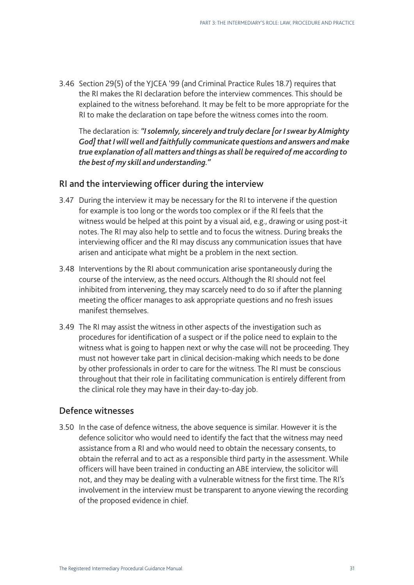3.46 Section 29(5) of the YJCEA '99 (and Criminal Practice Rules 18.7) requires that the RI makes the RI declaration before the interview commences. This should be explained to the witness beforehand. It may be felt to be more appropriate for the RI to make the declaration on tape before the witness comes into the room.

The declaration is: *"I solemnly, sincerely and truly declare [or I swear by Almighty God] that I will well and faithfully communicate questions and answers and make true explanation of all matters and things as shall be required of me according to the best of my skill and understanding."* 

### RI and the interviewing officer during the interview

- 3.47 During the interview it may be necessary for the RI to intervene if the question for example is too long or the words too complex or if the RI feels that the witness would be helped at this point by a visual aid, e.g., drawing or using post-it notes. The RI may also help to settle and to focus the witness. During breaks the interviewing officer and the RI may discuss any communication issues that have arisen and anticipate what might be a problem in the next section.
- 3.48 Interventions by the RI about communication arise spontaneously during the course of the interview, as the need occurs. Although the RI should not feel inhibited from intervening, they may scarcely need to do so if after the planning meeting the officer manages to ask appropriate questions and no fresh issues manifest themselves.
- 3.49 The RI may assist the witness in other aspects of the investigation such as procedures for identification of a suspect or if the police need to explain to the witness what is going to happen next or why the case will not be proceeding. They must not however take part in clinical decision-making which needs to be done by other professionals in order to care for the witness. The RI must be conscious throughout that their role in facilitating communication is entirely different from the clinical role they may have in their day-to-day job.

#### Defence witnesses

3.50 In the case of defence witness, the above sequence is similar. However it is the defence solicitor who would need to identify the fact that the witness may need assistance from a RI and who would need to obtain the necessary consents, to obtain the referral and to act as a responsible third party in the assessment. While officers will have been trained in conducting an ABE interview, the solicitor will not, and they may be dealing with a vulnerable witness for the first time. The RI's involvement in the interview must be transparent to anyone viewing the recording of the proposed evidence in chief.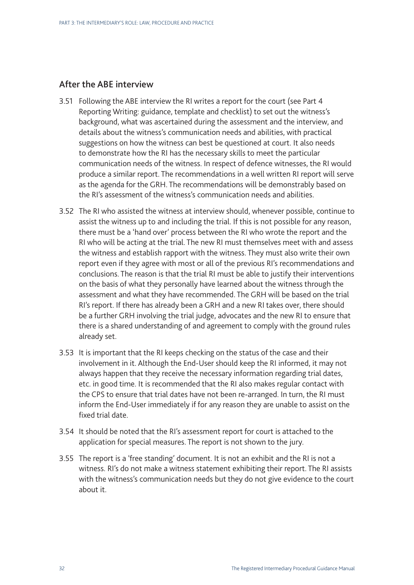## After the ABE interview

- 3.51 Following the ABE interview the RI writes a report for the court (see Part 4 Reporting Writing: guidance, template and checklist) to set out the witness's background, what was ascertained during the assessment and the interview, and details about the witness's communication needs and abilities, with practical suggestions on how the witness can best be questioned at court. It also needs to demonstrate how the RI has the necessary skills to meet the particular communication needs of the witness. In respect of defence witnesses, the RI would produce a similar report. The recommendations in a well written RI report will serve as the agenda for the GRH. The recommendations will be demonstrably based on the RI's assessment of the witness's communication needs and abilities.
- 3.52 The RI who assisted the witness at interview should, whenever possible, continue to assist the witness up to and including the trial. If this is not possible for any reason, there must be a 'hand over' process between the RI who wrote the report and the RI who will be acting at the trial. The new RI must themselves meet with and assess the witness and establish rapport with the witness. They must also write their own report even if they agree with most or all of the previous RI's recommendations and conclusions. The reason is that the trial RI must be able to justify their interventions on the basis of what they personally have learned about the witness through the assessment and what they have recommended. The GRH will be based on the trial RI's report. If there has already been a GRH and a new RI takes over, there should be a further GRH involving the trial judge, advocates and the new RI to ensure that there is a shared understanding of and agreement to comply with the ground rules already set.
- 3.53 It is important that the RI keeps checking on the status of the case and their involvement in it. Although the End-User should keep the RI informed, it may not always happen that they receive the necessary information regarding trial dates, etc. in good time. It is recommended that the RI also makes regular contact with the CPS to ensure that trial dates have not been re-arranged. In turn, the RI must inform the End-User immediately if for any reason they are unable to assist on the fixed trial date.
- 3.54 It should be noted that the RI's assessment report for court is attached to the application for special measures. The report is not shown to the jury.
- 3.55 The report is a 'free standing' document. It is not an exhibit and the RI is not a witness. RI's do not make a witness statement exhibiting their report. The RI assists with the witness's communication needs but they do not give evidence to the court about it.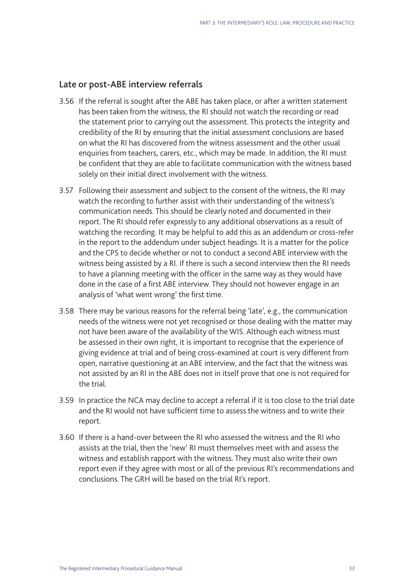#### Late or post-ABE interview referrals

- 3.56 If the referral is sought after the ABE has taken place, or after a written statement has been taken from the witness, the RI should not watch the recording or read the statement prior to carrying out the assessment. This protects the integrity and credibility of the RI by ensuring that the initial assessment conclusions are based on what the RI has discovered from the witness assessment and the other usual enquiries from teachers, carers, etc., which may be made. In addition, the RI must be confident that they are able to facilitate communication with the witness based solely on their initial direct involvement with the witness.
- 3.57 Following their assessment and subject to the consent of the witness, the RI may watch the recording to further assist with their understanding of the witness's communication needs. This should be clearly noted and documented in their report. The RI should refer expressly to any additional observations as a result of watching the recording. It may be helpful to add this as an addendum or cross-refer in the report to the addendum under subject headings. It is a matter for the police and the CPS to decide whether or not to conduct a second ABE interview with the witness being assisted by a RI. If there is such a second interview then the RI needs to have a planning meeting with the officer in the same way as they would have done in the case of a first ABE interview. They should not however engage in an analysis of 'what went wrong' the first time.
- 3.58 There may be various reasons for the referral being 'late', e.g., the communication needs of the witness were not yet recognised or those dealing with the matter may not have been aware of the availability of the WIS. Although each witness must be assessed in their own right, it is important to recognise that the experience of giving evidence at trial and of being cross-examined at court is very different from open, narrative questioning at an ABE interview, and the fact that the witness was not assisted by an RI in the ABE does not in itself prove that one is not required for the trial.
- 3.59 In practice the NCA may decline to accept a referral if it is too close to the trial date and the RI would not have sufficient time to assess the witness and to write their report.
- 3.60 If there is a hand-over between the RI who assessed the witness and the RI who assists at the trial, then the 'new' RI must themselves meet with and assess the witness and establish rapport with the witness. They must also write their own report even if they agree with most or all of the previous RI's recommendations and conclusions. The GRH will be based on the trial RI's report.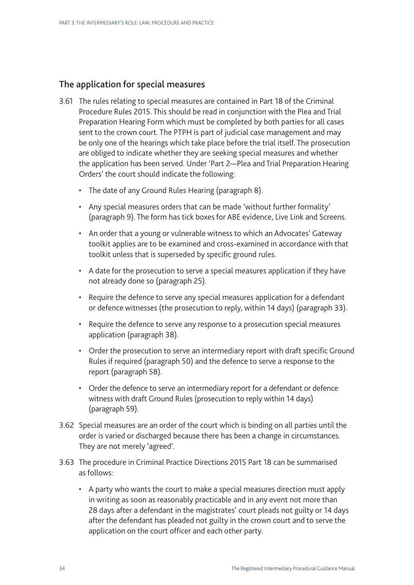## The application for special measures

- 3.61 The rules relating to special measures are contained in Part 18 of the Criminal Procedure Rules 2015. This should be read in conjunction with the Plea and Trial Preparation Hearing Form which must be completed by both parties for all cases sent to the crown court. The PTPH is part of judicial case management and may be only one of the hearings which take place before the trial itself. The prosecution are obliged to indicate whether they are seeking special measures and whether the application has been served. Under 'Part 2—Plea and Trial Preparation Hearing Orders' the court should indicate the following:
	- The date of any Ground Rules Hearing (paragraph 8).
	- Any special measures orders that can be made 'without further formality' (paragraph 9). The form has tick boxes for ABE evidence, Live Link and Screens.
	- An order that a young or vulnerable witness to which an Advocates' Gateway toolkit applies are to be examined and cross-examined in accordance with that toolkit unless that is superseded by specific ground rules.
	- A date for the prosecution to serve a special measures application if they have not already done so (paragraph 25).
	- Require the defence to serve any special measures application for a defendant or defence witnesses (the prosecution to reply, within 14 days) (paragraph 33).
	- Require the defence to serve any response to a prosecution special measures application (paragraph 38).
	- Order the prosecution to serve an intermediary report with draft specific Ground Rules if required (paragraph 50) and the defence to serve a response to the report (paragraph 58).
	- Order the defence to serve an intermediary report for a defendant or defence witness with draft Ground Rules (prosecution to reply within 14 days) (paragraph 59).
- 3.62 Special measures are an order of the court which is binding on all parties until the order is varied or discharged because there has been a change in circumstances. They are not merely 'agreed'.
- 3.63 The procedure in Criminal Practice Directions 2015 Part 18 can be summarised as follows:
	- A party who wants the court to make a special measures direction must apply in writing as soon as reasonably practicable and in any event not more than 28 days after a defendant in the magistrates' court pleads not guilty or 14 days after the defendant has pleaded not guilty in the crown court and to serve the application on the court officer and each other party.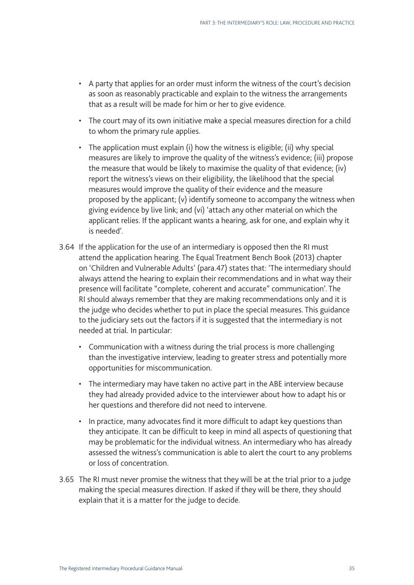- A party that applies for an order must inform the witness of the court's decision as soon as reasonably practicable and explain to the witness the arrangements that as a result will be made for him or her to give evidence.
- The court may of its own initiative make a special measures direction for a child to whom the primary rule applies.
- The application must explain (i) how the witness is eligible; (ii) why special measures are likely to improve the quality of the witness's evidence; (iii) propose the measure that would be likely to maximise the quality of that evidence; (iv) report the witness's views on their eligibility, the likelihood that the special measures would improve the quality of their evidence and the measure proposed by the applicant; (v) identify someone to accompany the witness when giving evidence by live link; and (vi) 'attach any other material on which the applicant relies. If the applicant wants a hearing, ask for one, and explain why it is needed'.
- 3.64 If the application for the use of an intermediary is opposed then the RI must attend the application hearing. The Equal Treatment Bench Book (2013) chapter on 'Children and Vulnerable Adults' (para.47) states that: 'The intermediary should always attend the hearing to explain their recommendations and in what way their presence will facilitate "complete, coherent and accurate" communication'. The RI should always remember that they are making recommendations only and it is the judge who decides whether to put in place the special measures. This guidance to the judiciary sets out the factors if it is suggested that the intermediary is not needed at trial. In particular:
	- Communication with a witness during the trial process is more challenging than the investigative interview, leading to greater stress and potentially more opportunities for miscommunication.
	- The intermediary may have taken no active part in the ABE interview because they had already provided advice to the interviewer about how to adapt his or her questions and therefore did not need to intervene.
	- In practice, many advocates find it more difficult to adapt key questions than they anticipate. It can be difficult to keep in mind all aspects of questioning that may be problematic for the individual witness. An intermediary who has already assessed the witness's communication is able to alert the court to any problems or loss of concentration.
- 3.65 The RI must never promise the witness that they will be at the trial prior to a judge making the special measures direction. If asked if they will be there, they should explain that it is a matter for the judge to decide.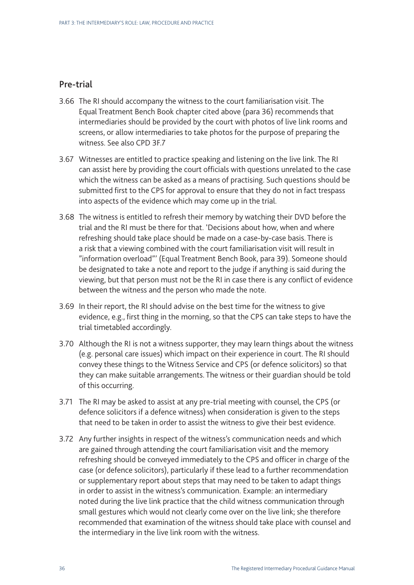## Pre-trial

- 3.66 The RI should accompany the witness to the court familiarisation visit. The Equal Treatment Bench Book chapter cited above (para 36) recommends that intermediaries should be provided by the court with photos of live link rooms and screens, or allow intermediaries to take photos for the purpose of preparing the witness. See also CPD 3F.7
- 3.67 Witnesses are entitled to practice speaking and listening on the live link. The RI can assist here by providing the court officials with questions unrelated to the case which the witness can be asked as a means of practising. Such questions should be submitted first to the CPS for approval to ensure that they do not in fact trespass into aspects of the evidence which may come up in the trial.
- 3.68 The witness is entitled to refresh their memory by watching their DVD before the trial and the RI must be there for that. 'Decisions about how, when and where refreshing should take place should be made on a case-by-case basis. There is a risk that a viewing combined with the court familiarisation visit will result in "information overload"' (Equal Treatment Bench Book, para 39). Someone should be designated to take a note and report to the judge if anything is said during the viewing, but that person must not be the RI in case there is any conflict of evidence between the witness and the person who made the note.
- 3.69 In their report, the RI should advise on the best time for the witness to give evidence, e.g., first thing in the morning, so that the CPS can take steps to have the trial timetabled accordingly.
- 3.70 Although the RI is not a witness supporter, they may learn things about the witness (e.g. personal care issues) which impact on their experience in court. The RI should convey these things to the Witness Service and CPS (or defence solicitors) so that they can make suitable arrangements. The witness or their guardian should be told of this occurring.
- 3.71 The RI may be asked to assist at any pre-trial meeting with counsel, the CPS (or defence solicitors if a defence witness) when consideration is given to the steps that need to be taken in order to assist the witness to give their best evidence.
- 3.72 Any further insights in respect of the witness's communication needs and which are gained through attending the court familiarisation visit and the memory refreshing should be conveyed immediately to the CPS and officer in charge of the case (or defence solicitors), particularly if these lead to a further recommendation or supplementary report about steps that may need to be taken to adapt things in order to assist in the witness's communication. Example: an intermediary noted during the live link practice that the child witness communication through small gestures which would not clearly come over on the live link; she therefore recommended that examination of the witness should take place with counsel and the intermediary in the live link room with the witness.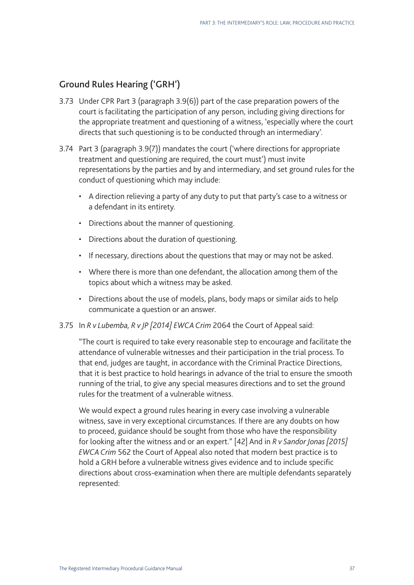## Ground Rules Hearing ('GRH')

- 3.73 Under CPR Part 3 (paragraph 3.9(6)) part of the case preparation powers of the court is facilitating the participation of any person, including giving directions for the appropriate treatment and questioning of a witness, 'especially where the court directs that such questioning is to be conducted through an intermediary'.
- 3.74 Part 3 (paragraph 3.9(7)) mandates the court ('where directions for appropriate treatment and questioning are required, the court must') must invite representations by the parties and by and intermediary, and set ground rules for the conduct of questioning which may include:
	- A direction relieving a party of any duty to put that party's case to a witness or a defendant in its entirety.
	- Directions about the manner of questioning.
	- Directions about the duration of questioning.
	- If necessary, directions about the questions that may or may not be asked.
	- Where there is more than one defendant, the allocation among them of the topics about which a witness may be asked.
	- Directions about the use of models, plans, body maps or similar aids to help communicate a question or an answer.
- 3.75 In *R v Lubemba, R v JP [2014] EWCA Crim* 2064 the Court of Appeal said:

"The court is required to take every reasonable step to encourage and facilitate the attendance of vulnerable witnesses and their participation in the trial process. To that end, judges are taught, in accordance with the Criminal Practice Directions, that it is best practice to hold hearings in advance of the trial to ensure the smooth running of the trial, to give any special measures directions and to set the ground rules for the treatment of a vulnerable witness.

We would expect a ground rules hearing in every case involving a vulnerable witness, save in very exceptional circumstances. If there are any doubts on how to proceed, guidance should be sought from those who have the responsibility for looking after the witness and or an expert." [42] And in *R v Sandor Jonas [2015] EWCA Crim* 562 the Court of Appeal also noted that modern best practice is to hold a GRH before a vulnerable witness gives evidence and to include specific directions about cross-examination when there are multiple defendants separately represented: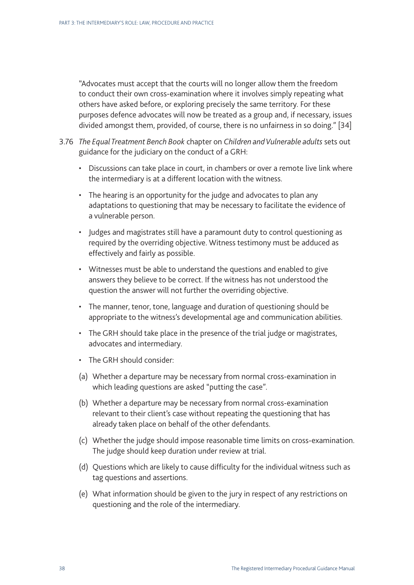"Advocates must accept that the courts will no longer allow them the freedom to conduct their own cross-examination where it involves simply repeating what others have asked before, or exploring precisely the same territory. For these purposes defence advocates will now be treated as a group and, if necessary, issues divided amongst them, provided, of course, there is no unfairness in so doing." [34]

- 3.76 *The Equal Treatment Bench Book* chapter on *Children and Vulnerable adults* sets out guidance for the judiciary on the conduct of a GRH:
	- Discussions can take place in court, in chambers or over a remote live link where the intermediary is at a different location with the witness.
	- The hearing is an opportunity for the judge and advocates to plan any adaptations to questioning that may be necessary to facilitate the evidence of a vulnerable person.
	- Judges and magistrates still have a paramount duty to control questioning as required by the overriding objective. Witness testimony must be adduced as effectively and fairly as possible.
	- Witnesses must be able to understand the questions and enabled to give answers they believe to be correct. If the witness has not understood the question the answer will not further the overriding objective.
	- The manner, tenor, tone, language and duration of questioning should be appropriate to the witness's developmental age and communication abilities.
	- The GRH should take place in the presence of the trial judge or magistrates, advocates and intermediary.
	- The GRH should consider:
	- (a) Whether a departure may be necessary from normal cross-examination in which leading questions are asked "putting the case".
	- (b) Whether a departure may be necessary from normal cross-examination relevant to their client's case without repeating the questioning that has already taken place on behalf of the other defendants.
	- (c) Whether the judge should impose reasonable time limits on cross-examination. The judge should keep duration under review at trial.
	- (d) Questions which are likely to cause difficulty for the individual witness such as tag questions and assertions.
	- (e) What information should be given to the jury in respect of any restrictions on questioning and the role of the intermediary.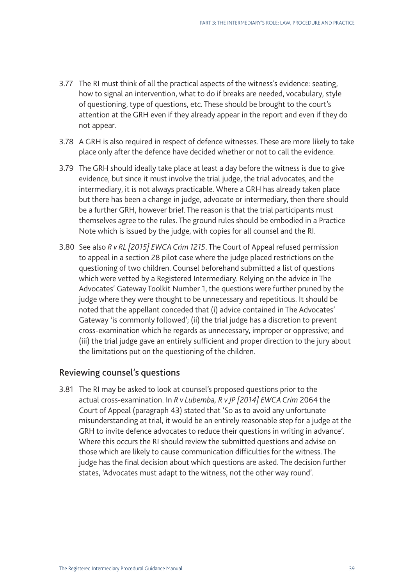- 3.77 The RI must think of all the practical aspects of the witness's evidence: seating, how to signal an intervention, what to do if breaks are needed, vocabulary, style of questioning, type of questions, etc. These should be brought to the court's attention at the GRH even if they already appear in the report and even if they do not appear.
- 3.78 A GRH is also required in respect of defence witnesses. These are more likely to take place only after the defence have decided whether or not to call the evidence.
- 3.79 The GRH should ideally take place at least a day before the witness is due to give evidence, but since it must involve the trial judge, the trial advocates, and the intermediary, it is not always practicable. Where a GRH has already taken place but there has been a change in judge, advocate or intermediary, then there should be a further GRH, however brief. The reason is that the trial participants must themselves agree to the rules. The ground rules should be embodied in a Practice Note which is issued by the judge, with copies for all counsel and the RI.
- 3.80 See also *R v RL [2015] EWCA Crim 1215*. The Court of Appeal refused permission to appeal in a section 28 pilot case where the judge placed restrictions on the questioning of two children. Counsel beforehand submitted a list of questions which were vetted by a Registered Intermediary. Relying on the advice in The Advocates' Gateway Toolkit Number 1, the questions were further pruned by the judge where they were thought to be unnecessary and repetitious. It should be noted that the appellant conceded that (i) advice contained in The Advocates' Gateway 'is commonly followed'; (ii) the trial judge has a discretion to prevent cross-examination which he regards as unnecessary, improper or oppressive; and (iii) the trial judge gave an entirely sufficient and proper direction to the jury about the limitations put on the questioning of the children.

### Reviewing counsel's questions

3.81 The RI may be asked to look at counsel's proposed questions prior to the actual cross-examination. In *R v Lubemba, R v JP [2014] EWCA Crim* 2064 the Court of Appeal (paragraph 43) stated that 'So as to avoid any unfortunate misunderstanding at trial, it would be an entirely reasonable step for a judge at the GRH to invite defence advocates to reduce their questions in writing in advance'. Where this occurs the RI should review the submitted questions and advise on those which are likely to cause communication difficulties for the witness. The judge has the final decision about which questions are asked. The decision further states, 'Advocates must adapt to the witness, not the other way round'.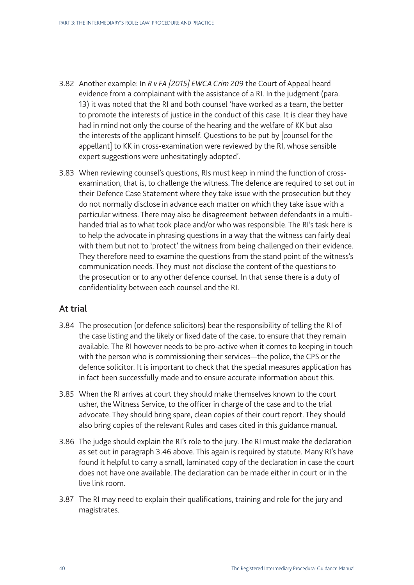- 3.82 Another example: In *R v FA [2015] EWCA Crim 209* the Court of Appeal heard evidence from a complainant with the assistance of a RI. In the judgment (para. 13) it was noted that the RI and both counsel 'have worked as a team, the better to promote the interests of justice in the conduct of this case. It is clear they have had in mind not only the course of the hearing and the welfare of KK but also the interests of the applicant himself. Questions to be put by [counsel for the appellant] to KK in cross-examination were reviewed by the RI, whose sensible expert suggestions were unhesitatingly adopted'.
- 3.83 When reviewing counsel's questions, RIs must keep in mind the function of crossexamination, that is, to challenge the witness. The defence are required to set out in their Defence Case Statement where they take issue with the prosecution but they do not normally disclose in advance each matter on which they take issue with a particular witness. There may also be disagreement between defendants in a multihanded trial as to what took place and/or who was responsible. The RI's task here is to help the advocate in phrasing questions in a way that the witness can fairly deal with them but not to 'protect' the witness from being challenged on their evidence. They therefore need to examine the questions from the stand point of the witness's communication needs. They must not disclose the content of the questions to the prosecution or to any other defence counsel. In that sense there is a duty of confidentiality between each counsel and the RI.

### At trial

- 3.84 The prosecution (or defence solicitors) bear the responsibility of telling the RI of the case listing and the likely or fixed date of the case, to ensure that they remain available. The RI however needs to be pro-active when it comes to keeping in touch with the person who is commissioning their services—the police, the CPS or the defence solicitor. It is important to check that the special measures application has in fact been successfully made and to ensure accurate information about this.
- 3.85 When the RI arrives at court they should make themselves known to the court usher, the Witness Service, to the officer in charge of the case and to the trial advocate. They should bring spare, clean copies of their court report. They should also bring copies of the relevant Rules and cases cited in this guidance manual.
- 3.86 The judge should explain the RI's role to the jury. The RI must make the declaration as set out in paragraph 3.46 above. This again is required by statute. Many RI's have found it helpful to carry a small, laminated copy of the declaration in case the court does not have one available. The declaration can be made either in court or in the live link room.
- 3.87 The RI may need to explain their qualifications, training and role for the jury and magistrates.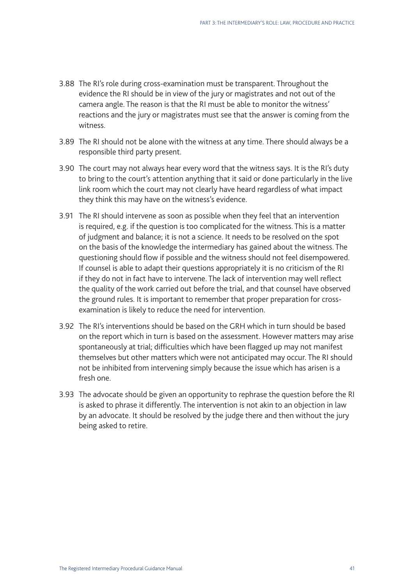- 3.88 The RI's role during cross-examination must be transparent. Throughout the evidence the RI should be in view of the jury or magistrates and not out of the camera angle. The reason is that the RI must be able to monitor the witness' reactions and the jury or magistrates must see that the answer is coming from the witness.
- 3.89 The RI should not be alone with the witness at any time. There should always be a responsible third party present.
- 3.90 The court may not always hear every word that the witness says. It is the RI's duty to bring to the court's attention anything that it said or done particularly in the live link room which the court may not clearly have heard regardless of what impact they think this may have on the witness's evidence.
- 3.91 The RI should intervene as soon as possible when they feel that an intervention is required, e.g. if the question is too complicated for the witness. This is a matter of judgment and balance; it is not a science. It needs to be resolved on the spot on the basis of the knowledge the intermediary has gained about the witness. The questioning should flow if possible and the witness should not feel disempowered. If counsel is able to adapt their questions appropriately it is no criticism of the RI if they do not in fact have to intervene. The lack of intervention may well reflect the quality of the work carried out before the trial, and that counsel have observed the ground rules. It is important to remember that proper preparation for crossexamination is likely to reduce the need for intervention.
- 3.92 The RI's interventions should be based on the GRH which in turn should be based on the report which in turn is based on the assessment. However matters may arise spontaneously at trial; difficulties which have been flagged up may not manifest themselves but other matters which were not anticipated may occur. The RI should not be inhibited from intervening simply because the issue which has arisen is a fresh one.
- 3.93 The advocate should be given an opportunity to rephrase the question before the RI is asked to phrase it differently. The intervention is not akin to an objection in law by an advocate. It should be resolved by the judge there and then without the jury being asked to retire.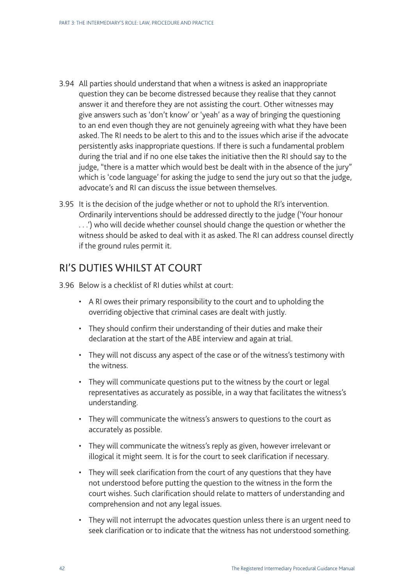- 3.94 All parties should understand that when a witness is asked an inappropriate question they can be become distressed because they realise that they cannot answer it and therefore they are not assisting the court. Other witnesses may give answers such as 'don't know' or 'yeah' as a way of bringing the questioning to an end even though they are not genuinely agreeing with what they have been asked. The RI needs to be alert to this and to the issues which arise if the advocate persistently asks inappropriate questions. If there is such a fundamental problem during the trial and if no one else takes the initiative then the RI should say to the judge, "there is a matter which would best be dealt with in the absence of the jury" which is 'code language' for asking the judge to send the jury out so that the judge, advocate's and RI can discuss the issue between themselves.
- 3.95 It is the decision of the judge whether or not to uphold the RI's intervention. Ordinarily interventions should be addressed directly to the judge ('Your honour . . .') who will decide whether counsel should change the question or whether the witness should be asked to deal with it as asked. The RI can address counsel directly if the ground rules permit it.

## RI'S DUTIES WHILST AT COURT

- 3.96 Below is a checklist of RI duties whilst at court:
	- A RI owes their primary responsibility to the court and to upholding the overriding objective that criminal cases are dealt with justly.
	- They should confirm their understanding of their duties and make their declaration at the start of the ABE interview and again at trial.
	- They will not discuss any aspect of the case or of the witness's testimony with the witness.
	- They will communicate questions put to the witness by the court or legal representatives as accurately as possible, in a way that facilitates the witness's understanding.
	- They will communicate the witness's answers to questions to the court as accurately as possible.
	- They will communicate the witness's reply as given, however irrelevant or illogical it might seem. It is for the court to seek clarification if necessary.
	- They will seek clarification from the court of any questions that they have not understood before putting the question to the witness in the form the court wishes. Such clarification should relate to matters of understanding and comprehension and not any legal issues.
	- They will not interrupt the advocates question unless there is an urgent need to seek clarification or to indicate that the witness has not understood something.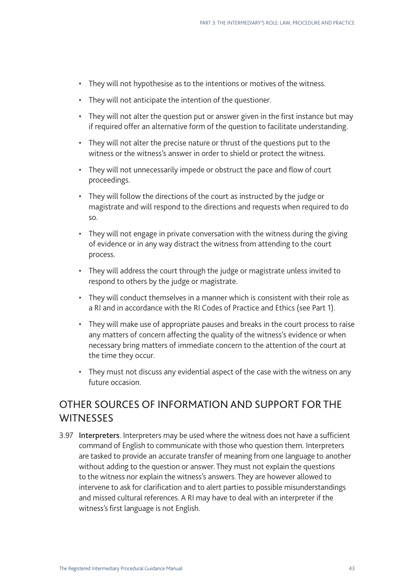- They will not hypothesise as to the intentions or motives of the witness.
- They will not anticipate the intention of the questioner.
- They will not alter the question put or answer given in the first instance but may if required offer an alternative form of the question to facilitate understanding.
- They will not alter the precise nature or thrust of the questions put to the witness or the witness's answer in order to shield or protect the witness.
- They will not unnecessarily impede or obstruct the pace and flow of court proceedings.
- They will follow the directions of the court as instructed by the judge or magistrate and will respond to the directions and requests when required to do so.
- They will not engage in private conversation with the witness during the giving of evidence or in any way distract the witness from attending to the court process.
- They will address the court through the judge or magistrate unless invited to respond to others by the judge or magistrate.
- They will conduct themselves in a manner which is consistent with their role as a RI and in accordance with the RI Codes of Practice and Ethics (see Part 1).
- They will make use of appropriate pauses and breaks in the court process to raise any matters of concern affecting the quality of the witness's evidence or when necessary bring matters of immediate concern to the attention of the court at the time they occur.
- They must not discuss any evidential aspect of the case with the witness on any future occasion.

## OTHER SOURCES OF INFORMATION AND SUPPORT FOR THE **WITNESSES**

3.97 Interpreters. Interpreters may be used where the witness does not have a sufficient command of English to communicate with those who question them. Interpreters are tasked to provide an accurate transfer of meaning from one language to another without adding to the question or answer. They must not explain the questions to the witness nor explain the witness's answers. They are however allowed to intervene to ask for clarification and to alert parties to possible misunderstandings and missed cultural references. A RI may have to deal with an interpreter if the witness's first language is not English.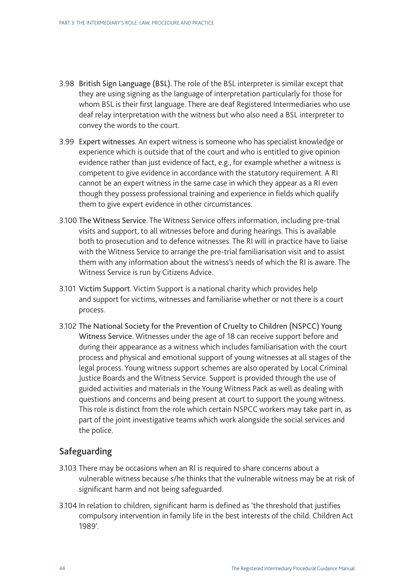- 3.98 British Sign Language (BSL). The role of the BSL interpreter is similar except that they are using signing as the language of interpretation particularly for those for whom BSL is their first language. There are deaf Registered Intermediaries who use deaf relay interpretation with the witness but who also need a BSL interpreter to convey the words to the court.
- 3.99 Expert witnesses. An expert witness is someone who has specialist knowledge or experience which is outside that of the court and who is entitled to give opinion evidence rather than just evidence of fact, e.g., for example whether a witness is competent to give evidence in accordance with the statutory requirement. A RI cannot be an expert witness in the same case in which they appear as a RI even though they possess professional training and experience in fields which qualify them to give expert evidence in other circumstances.
- 3.100 The Witness Service. The Witness Service offers information, including pre-trial visits and support, to all witnesses before and during hearings. This is available both to prosecution and to defence witnesses. The RI will in practice have to liaise with the Witness Service to arrange the pre-trial familiarisation visit and to assist them with any information about the witness's needs of which the RI is aware. The Witness Service is run by Citizens Advice.
- 3.101 Victim Support. Victim Support is a national charity which provides help and support for victims, witnesses and familiarise whether or not there is a court process.
- 3.102 The National Society for the Prevention of Cruelty to Children (NSPCC) Young Witness Service. Witnesses under the age of 18 can receive support before and during their appearance as a witness which includes familiarisation with the court process and physical and emotional support of young witnesses at all stages of the legal process. Young witness support schemes are also operated by Local Criminal Justice Boards and the Witness Service. Support is provided through the use of guided activities and materials in the Young Witness Pack as well as dealing with questions and concerns and being present at court to support the young witness. This role is distinct from the role which certain NSPCC workers may take part in, as part of the joint investigative teams which work alongside the social services and the police.

## Safeguarding

- 3.103 There may be occasions when an RI is required to share concerns about a vulnerable witness because s/he thinks that the vulnerable witness may be at risk of significant harm and not being safeguarded.
- 3.104 In relation to children, significant harm is defined as 'the threshold that justifies compulsory intervention in family life in the best interests of the child. Children Act 1989'.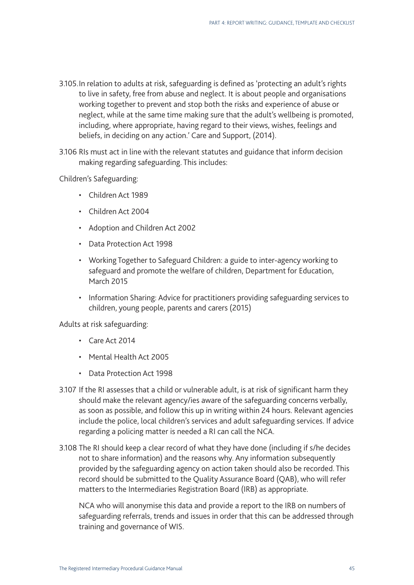- 3.105.In relation to adults at risk, safeguarding is defined as 'protecting an adult's rights to live in safety, free from abuse and neglect. It is about people and organisations working together to prevent and stop both the risks and experience of abuse or neglect, while at the same time making sure that the adult's wellbeing is promoted, including, where appropriate, having regard to their views, wishes, feelings and beliefs, in deciding on any action.' Care and Support, (2014).
- 3.106 RIs must act in line with the relevant statutes and guidance that inform decision making regarding safeguarding. This includes:

Children's Safeguarding:

- Children Act 1989
- Children Act 2004
- Adoption and Children Act 2002
- Data Protection Act 1998
- Working Together to Safeguard Children: a guide to inter-agency working to safeguard and promote the welfare of children, Department for Education, March 2015
- Information Sharing: Advice for practitioners providing safeguarding services to children, young people, parents and carers (2015)

Adults at risk safeguarding:

- Care Act 2014
- Mental Health Act 2005
- Data Protection Act 1998
- 3.107 If the RI assesses that a child or vulnerable adult, is at risk of significant harm they should make the relevant agency/ies aware of the safeguarding concerns verbally, as soon as possible, and follow this up in writing within 24 hours. Relevant agencies include the police, local children's services and adult safeguarding services. If advice regarding a policing matter is needed a RI can call the NCA.
- 3.108 The RI should keep a clear record of what they have done (including if s/he decides not to share information) and the reasons why. Any information subsequently provided by the safeguarding agency on action taken should also be recorded. This record should be submitted to the Quality Assurance Board (QAB), who will refer matters to the Intermediaries Registration Board (IRB) as appropriate.

NCA who will anonymise this data and provide a report to the IRB on numbers of safeguarding referrals, trends and issues in order that this can be addressed through training and governance of WIS.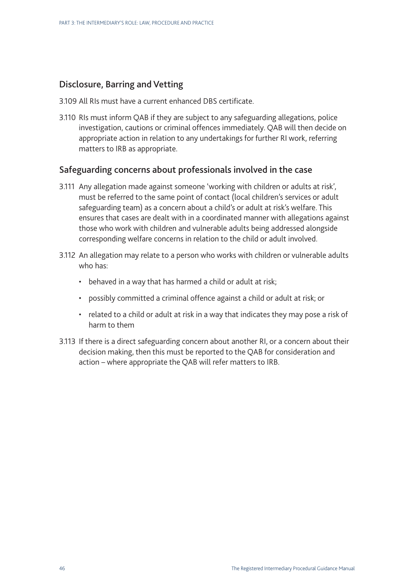## Disclosure, Barring and Vetting

- 3.109 All RIs must have a current enhanced DBS certificate.
- 3.110 RIs must inform QAB if they are subject to any safeguarding allegations, police investigation, cautions or criminal offences immediately. QAB will then decide on appropriate action in relation to any undertakings for further RI work, referring matters to IRB as appropriate.

### Safeguarding concerns about professionals involved in the case

- 3.111 Any allegation made against someone 'working with children or adults at risk', must be referred to the same point of contact (local children's services or adult safeguarding team) as a concern about a child's or adult at risk's welfare. This ensures that cases are dealt with in a coordinated manner with allegations against those who work with children and vulnerable adults being addressed alongside corresponding welfare concerns in relation to the child or adult involved.
- 3.112 An allegation may relate to a person who works with children or vulnerable adults who has:
	- behaved in a way that has harmed a child or adult at risk;
	- possibly committed a criminal offence against a child or adult at risk; or
	- related to a child or adult at risk in a way that indicates they may pose a risk of harm to them
- 3.113 If there is a direct safeguarding concern about another RI, or a concern about their decision making, then this must be reported to the QAB for consideration and action – where appropriate the QAB will refer matters to IRB.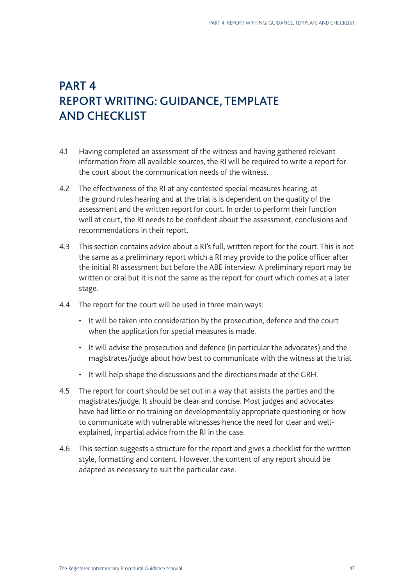## PART 4 REPORT WRITING: GUIDANCE, TEMPLATE AND CHECKLIST

- 4.1 Having completed an assessment of the witness and having gathered relevant information from all available sources, the RI will be required to write a report for the court about the communication needs of the witness.
- 4.2 The effectiveness of the RI at any contested special measures hearing, at the ground rules hearing and at the trial is is dependent on the quality of the assessment and the written report for court. In order to perform their function well at court, the RI needs to be confident about the assessment, conclusions and recommendations in their report.
- 4.3 This section contains advice about a RI's full, written report for the court. This is not the same as a preliminary report which a RI may provide to the police officer after the initial RI assessment but before the ABE interview. A preliminary report may be written or oral but it is not the same as the report for court which comes at a later stage.
- 4.4 The report for the court will be used in three main ways:
	- It will be taken into consideration by the prosecution, defence and the court when the application for special measures is made.
	- It will advise the prosecution and defence (in particular the advocates) and the magistrates/judge about how best to communicate with the witness at the trial.
	- It will help shape the discussions and the directions made at the GRH.
- 4.5 The report for court should be set out in a way that assists the parties and the magistrates/judge. It should be clear and concise. Most judges and advocates have had little or no training on developmentally appropriate questioning or how to communicate with vulnerable witnesses hence the need for clear and wellexplained, impartial advice from the RI in the case.
- 4.6 This section suggests a structure for the report and gives a checklist for the written style, formatting and content. However, the content of any report should be adapted as necessary to suit the particular case.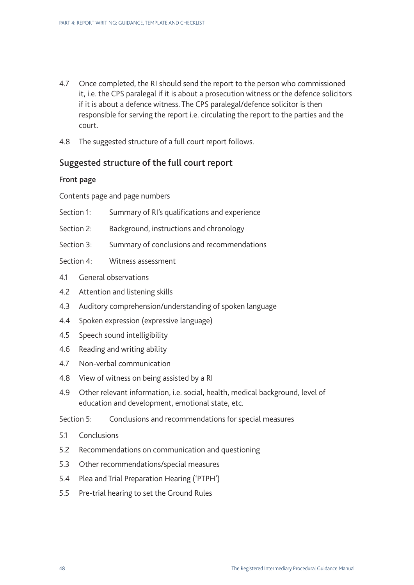- 4.7 Once completed, the RI should send the report to the person who commissioned it, i.e. the CPS paralegal if it is about a prosecution witness or the defence solicitors if it is about a defence witness. The CPS paralegal/defence solicitor is then responsible for serving the report i.e. circulating the report to the parties and the court.
- 4.8 The suggested structure of a full court report follows.

## Suggested structure of the full court report

#### Front page

Contents page and page numbers

- Section 1: Summary of RI's qualifications and experience
- Section 2: Background, instructions and chronology
- Section 3: Summary of conclusions and recommendations
- Section 4: Witness assessment
- 4.1 General observations
- 4.2 Attention and listening skills
- 4.3 Auditory comprehension/understanding of spoken language
- 4.4 Spoken expression (expressive language)
- 4.5 Speech sound intelligibility
- 4.6 Reading and writing ability
- 4.7 Non-verbal communication
- 4.8 View of witness on being assisted by a RI
- 4.9 Other relevant information, i.e. social, health, medical background, level of education and development, emotional state, etc.

Section 5: Conclusions and recommendations for special measures

- 5.1 Conclusions
- 5.2 Recommendations on communication and questioning
- 5.3 Other recommendations/special measures
- 5.4 Plea and Trial Preparation Hearing ('PTPH')
- 5.5 Pre-trial hearing to set the Ground Rules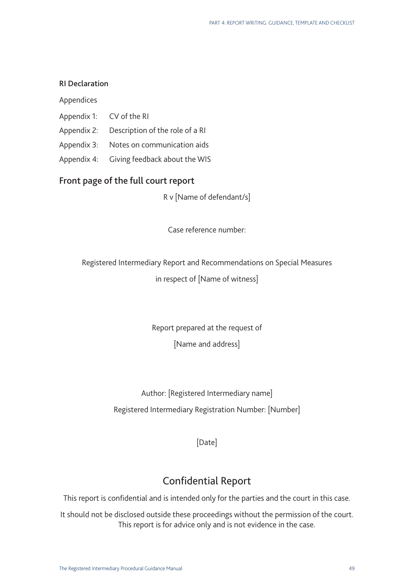#### RI Declaration

Appendices

- Appendix 1: CV of the RI
- Appendix 2: Description of the role of a RI
- Appendix 3: Notes on communication aids
- Appendix 4: Giving feedback about the WIS

#### Front page of the full court report

R v [Name of defendant/s]

Case reference number:

Registered Intermediary Report and Recommendations on Special Measures in respect of [Name of witness]

> Report prepared at the request of [Name and address]

Author: [Registered Intermediary name] Registered Intermediary Registration Number: [Number]

[Date]

## Confidential Report

This report is confidential and is intended only for the parties and the court in this case.

It should not be disclosed outside these proceedings without the permission of the court. This report is for advice only and is not evidence in the case.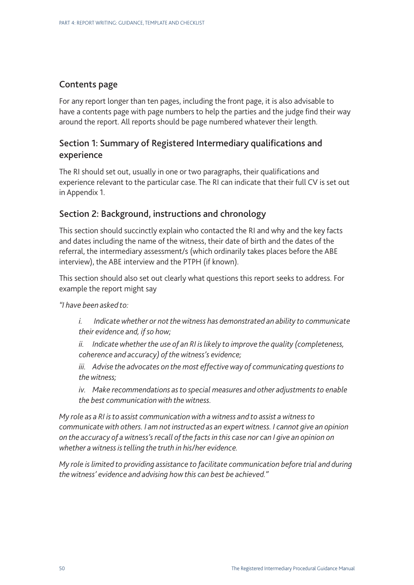## Contents page

For any report longer than ten pages, including the front page, it is also advisable to have a contents page with page numbers to help the parties and the judge find their way around the report. All reports should be page numbered whatever their length.

## Section 1: Summary of Registered Intermediary qualifications and experience

The RI should set out, usually in one or two paragraphs, their qualifications and experience relevant to the particular case. The RI can indicate that their full CV is set out in Appendix 1.

## Section 2: Background, instructions and chronology

This section should succinctly explain who contacted the RI and why and the key facts and dates including the name of the witness, their date of birth and the dates of the referral, the intermediary assessment/s (which ordinarily takes places before the ABE interview), the ABE interview and the PTPH (if known).

This section should also set out clearly what questions this report seeks to address. For example the report might say

*"I have been asked to:*

*i. Indicate whether or not the witness has demonstrated an ability to communicate their evidence and, if so how;* 

*ii. Indicate whether the use of an RI is likely to improve the quality (completeness, coherence and accuracy) of the witness's evidence;* 

*iii. Advise the advocates on the most effective way of communicating questions to the witness;* 

*iv. Make recommendations as to special measures and other adjustments to enable the best communication with the witness.*

*My role as a RI is to assist communication with a witness and to assist a witness to communicate with others. I am not instructed as an expert witness. I cannot give an opinion on the accuracy of a witness's recall of the facts in this case nor can I give an opinion on whether a witness is telling the truth in his/her evidence.* 

*My role is limited to providing assistance to facilitate communication before trial and during the witness' evidence and advising how this can best be achieved."*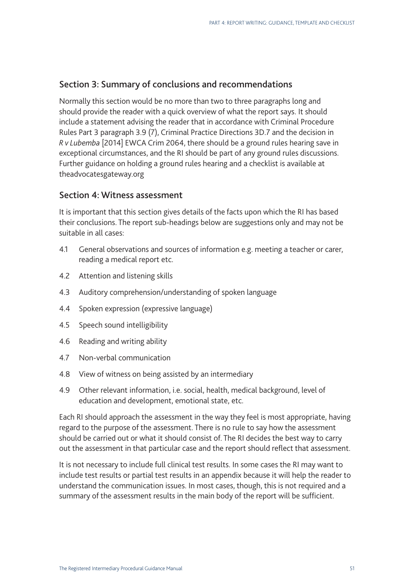#### Section 3: Summary of conclusions and recommendations

Normally this section would be no more than two to three paragraphs long and should provide the reader with a quick overview of what the report says. It should include a statement advising the reader that in accordance with Criminal Procedure Rules Part 3 paragraph 3.9 (7), Criminal Practice Directions 3D.7 and the decision in *R v Lubemba* [2014] EWCA Crim 2064, there should be a ground rules hearing save in exceptional circumstances, and the RI should be part of any ground rules discussions. Further guidance on holding a ground rules hearing and a checklist is available at [theadvocatesgateway.org](http://theadvocatesgateway.org)

#### Section 4: Witness assessment

It is important that this section gives details of the facts upon which the RI has based their conclusions. The report sub-headings below are suggestions only and may not be suitable in all cases:

- 4.1 General observations and sources of information e.g. meeting a teacher or carer, reading a medical report etc.
- 4.2 Attention and listening skills
- 4.3 Auditory comprehension/understanding of spoken language
- 4.4 Spoken expression (expressive language)
- 4.5 Speech sound intelligibility
- 4.6 Reading and writing ability
- 4.7 Non-verbal communication
- 4.8 View of witness on being assisted by an intermediary
- 4.9 Other relevant information, i.e. social, health, medical background, level of education and development, emotional state, etc.

Each RI should approach the assessment in the way they feel is most appropriate, having regard to the purpose of the assessment. There is no rule to say how the assessment should be carried out or what it should consist of. The RI decides the best way to carry out the assessment in that particular case and the report should reflect that assessment.

It is not necessary to include full clinical test results. In some cases the RI may want to include test results or partial test results in an appendix because it will help the reader to understand the communication issues. In most cases, though, this is not required and a summary of the assessment results in the main body of the report will be sufficient.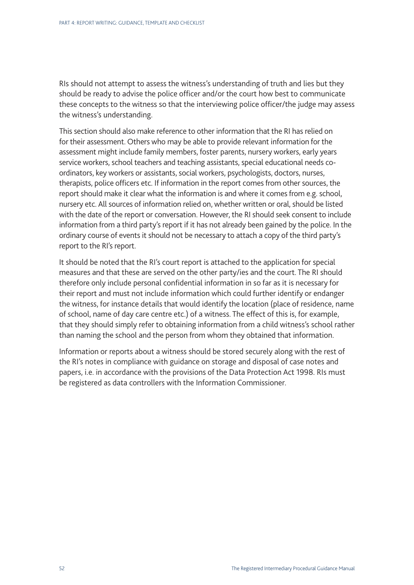RIs should not attempt to assess the witness's understanding of truth and lies but they should be ready to advise the police officer and/or the court how best to communicate these concepts to the witness so that the interviewing police officer/the judge may assess the witness's understanding.

This section should also make reference to other information that the RI has relied on for their assessment. Others who may be able to provide relevant information for the assessment might include family members, foster parents, nursery workers, early years service workers, school teachers and teaching assistants, special educational needs coordinators, key workers or assistants, social workers, psychologists, doctors, nurses, therapists, police officers etc. If information in the report comes from other sources, the report should make it clear what the information is and where it comes from e.g. school, nursery etc. All sources of information relied on, whether written or oral, should be listed with the date of the report or conversation. However, the RI should seek consent to include information from a third party's report if it has not already been gained by the police. In the ordinary course of events it should not be necessary to attach a copy of the third party's report to the RI's report.

It should be noted that the RI's court report is attached to the application for special measures and that these are served on the other party/ies and the court. The RI should therefore only include personal confidential information in so far as it is necessary for their report and must not include information which could further identify or endanger the witness, for instance details that would identify the location (place of residence, name of school, name of day care centre etc.) of a witness. The effect of this is, for example, that they should simply refer to obtaining information from a child witness's school rather than naming the school and the person from whom they obtained that information.

Information or reports about a witness should be stored securely along with the rest of the RI's notes in compliance with guidance on storage and disposal of case notes and papers, i.e. in accordance with the provisions of the Data Protection Act 1998. RIs must be registered as data controllers with the Information Commissioner.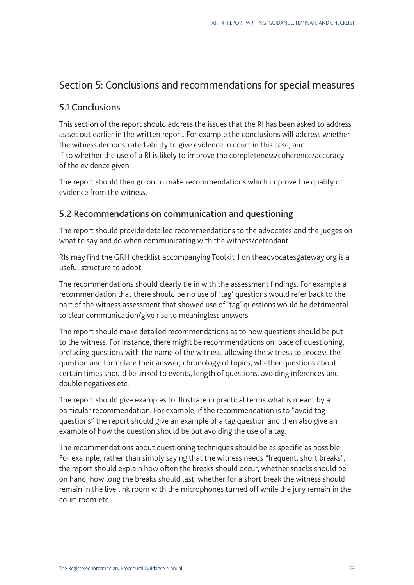## Section 5: Conclusions and recommendations for special measures

### 5.1 Conclusions

This section of the report should address the issues that the RI has been asked to address as set out earlier in the written report. For example the conclusions will address whether the witness demonstrated ability to give evidence in court in this case, and if so whether the use of a RI is likely to improve the completeness/coherence/accuracy of the evidence given.

The report should then go on to make recommendations which improve the quality of evidence from the witness.

## 5.2 Recommendations on communication and questioning

The report should provide detailed recommendations to the advocates and the judges on what to say and do when communicating with the witness/defendant.

RIs may find the GRH checklist accompanying Toolkit 1 on [theadvocatesgateway.org](http://theadvocatesgateway.org) is a useful structure to adopt.

The recommendations should clearly tie in with the assessment findings. For example a recommendation that there should be no use of 'tag' questions would refer back to the part of the witness assessment that showed use of 'tag' questions would be detrimental to clear communication/give rise to meaningless answers.

The report should make detailed recommendations as to how questions should be put to the witness. For instance, there might be recommendations on: pace of questioning, prefacing questions with the name of the witness, allowing the witness to process the question and formulate their answer, chronology of topics, whether questions about certain times should be linked to events, length of questions, avoiding inferences and double negatives etc.

The report should give examples to illustrate in practical terms what is meant by a particular recommendation. For example, if the recommendation is to "avoid tag questions" the report should give an example of a tag question and then also give an example of how the question should be put avoiding the use of a tag.

The recommendations about questioning techniques should be as specific as possible. For example, rather than simply saying that the witness needs "frequent, short breaks", the report should explain how often the breaks should occur, whether snacks should be on hand, how long the breaks should last, whether for a short break the witness should remain in the live link room with the microphones turned off while the jury remain in the court room etc.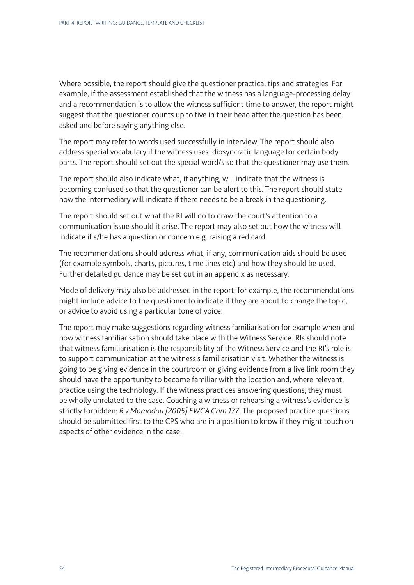Where possible, the report should give the questioner practical tips and strategies. For example, if the assessment established that the witness has a language-processing delay and a recommendation is to allow the witness sufficient time to answer, the report might suggest that the questioner counts up to five in their head after the question has been asked and before saying anything else.

The report may refer to words used successfully in interview. The report should also address special vocabulary if the witness uses idiosyncratic language for certain body parts. The report should set out the special word/s so that the questioner may use them.

The report should also indicate what, if anything, will indicate that the witness is becoming confused so that the questioner can be alert to this. The report should state how the intermediary will indicate if there needs to be a break in the questioning.

The report should set out what the RI will do to draw the court's attention to a communication issue should it arise. The report may also set out how the witness will indicate if s/he has a question or concern e.g. raising a red card.

The recommendations should address what, if any, communication aids should be used (for example symbols, charts, pictures, time lines etc) and how they should be used. Further detailed guidance may be set out in an appendix as necessary.

Mode of delivery may also be addressed in the report; for example, the recommendations might include advice to the questioner to indicate if they are about to change the topic, or advice to avoid using a particular tone of voice.

The report may make suggestions regarding witness familiarisation for example when and how witness familiarisation should take place with the Witness Service. RIs should note that witness familiarisation is the responsibility of the Witness Service and the RI's role is to support communication at the witness's familiarisation visit. Whether the witness is going to be giving evidence in the courtroom or giving evidence from a live link room they should have the opportunity to become familiar with the location and, where relevant, practice using the technology. If the witness practices answering questions, they must be wholly unrelated to the case. Coaching a witness or rehearsing a witness's evidence is strictly forbidden: *R v Momodou [2005] EWCA Crim 177*. The proposed practice questions should be submitted first to the CPS who are in a position to know if they might touch on aspects of other evidence in the case.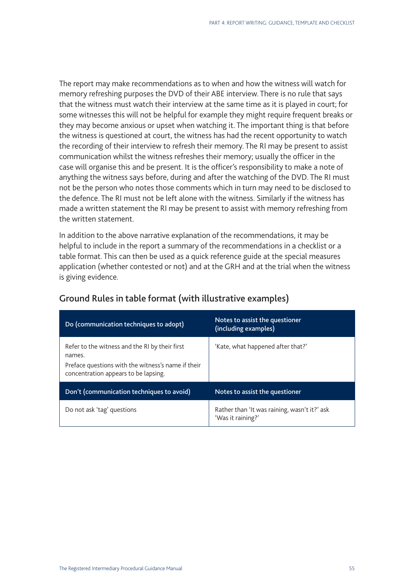The report may make recommendations as to when and how the witness will watch for memory refreshing purposes the DVD of their ABE interview. There is no rule that says that the witness must watch their interview at the same time as it is played in court; for some witnesses this will not be helpful for example they might require frequent breaks or they may become anxious or upset when watching it. The important thing is that before the witness is questioned at court, the witness has had the recent opportunity to watch the recording of their interview to refresh their memory. The RI may be present to assist communication whilst the witness refreshes their memory; usually the officer in the case will organise this and be present. It is the officer's responsibility to make a note of anything the witness says before, during and after the watching of the DVD. The RI must not be the person who notes those comments which in turn may need to be disclosed to the defence. The RI must not be left alone with the witness. Similarly if the witness has made a written statement the RI may be present to assist with memory refreshing from the written statement.

In addition to the above narrative explanation of the recommendations, it may be helpful to include in the report a summary of the recommendations in a checklist or a table format. This can then be used as a quick reference guide at the special measures application (whether contested or not) and at the GRH and at the trial when the witness is giving evidence.

| Do (communication techniques to adopt)                                                                                                                 | Notes to assist the questioner<br>(including examples)            |
|--------------------------------------------------------------------------------------------------------------------------------------------------------|-------------------------------------------------------------------|
| Refer to the witness and the RI by their first<br>names.<br>Preface questions with the witness's name if their<br>concentration appears to be lapsing. | 'Kate, what happened after that?'                                 |
| Don't (communication techniques to avoid)                                                                                                              | Notes to assist the questioner                                    |
| Do not ask 'tag' questions                                                                                                                             | Rather than 'It was raining, wasn't it?' ask<br>'Was it raining?' |

## Ground Rules in table format (with illustrative examples)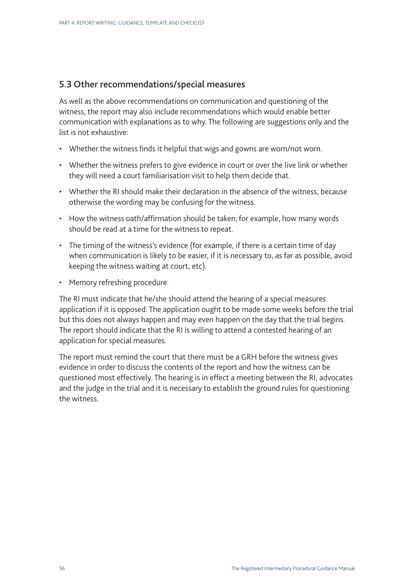#### 5.3 Other recommendations/special measures

As well as the above recommendations on communication and questioning of the witness, the report may also include recommendations which would enable better communication with explanations as to why. The following are suggestions only and the list is not exhaustive:

- Whether the witness finds it helpful that wigs and gowns are worn/not worn.
- Whether the witness prefers to give evidence in court or over the live link or whether they will need a court familiarisation visit to help them decide that.
- Whether the RI should make their declaration in the absence of the witness, because otherwise the wording may be confusing for the witness.
- How the witness oath/affirmation should be taken; for example, how many words should be read at a time for the witness to repeat.
- The timing of the witness's evidence (for example, if there is a certain time of day when communication is likely to be easier, if it is necessary to, as far as possible, avoid keeping the witness waiting at court, etc).
- Memory refreshing procedure.

The RI must indicate that he/she should attend the hearing of a special measures application if it is opposed. The application ought to be made some weeks before the trial but this does not always happen and may even happen on the day that the trial begins. The report should indicate that the RI is willing to attend a contested hearing of an application for special measures.

The report must remind the court that there must be a GRH before the witness gives evidence in order to discuss the contents of the report and how the witness can be questioned most effectively. The hearing is in effect a meeting between the RI, advocates and the judge in the trial and it is necessary to establish the ground rules for questioning the witness.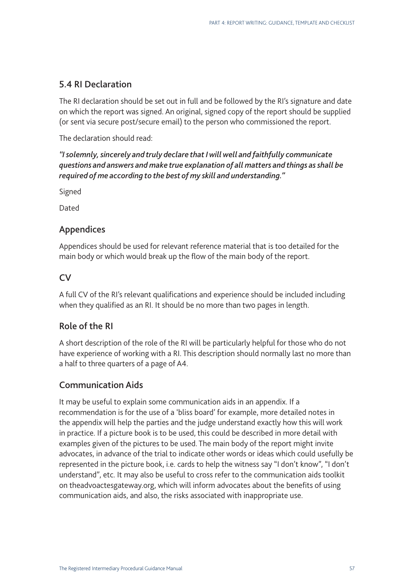## 5.4 RI Declaration

The RI declaration should be set out in full and be followed by the RI's signature and date on which the report was signed. An original, signed copy of the report should be supplied (or sent via secure post/secure email) to the person who commissioned the report.

The declaration should read:

*"I solemnly, sincerely and truly declare that I will well and faithfully communicate questions and answers and make true explanation of all matters and things as shall be required of me according to the best of my skill and understanding."*

Signed

Dated

## Appendices

Appendices should be used for relevant reference material that is too detailed for the main body or which would break up the flow of the main body of the report.

## $\overline{C}V$

A full CV of the RI's relevant qualifications and experience should be included including when they qualified as an RI. It should be no more than two pages in length.

## Role of the RI

A short description of the role of the RI will be particularly helpful for those who do not have experience of working with a RI. This description should normally last no more than a half to three quarters of a page of A4.

## Communication Aids

It may be useful to explain some communication aids in an appendix. If a recommendation is for the use of a 'bliss board' for example, more detailed notes in the appendix will help the parties and the judge understand exactly how this will work in practice. If a picture book is to be used, this could be described in more detail with examples given of the pictures to be used. The main body of the report might invite advocates, in advance of the trial to indicate other words or ideas which could usefully be represented in the picture book, i.e. cards to help the witness say "I don't know", "I don't understand", etc. It may also be useful to cross refer to the communication aids toolkit on [theadvoactesgateway.org,](http://www.theadvocatesgateway.org) which will inform advocates about the benefits of using communication aids, and also, the risks associated with inappropriate use.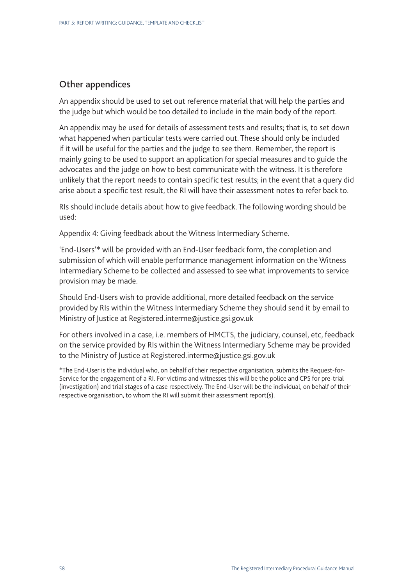## Other appendices

An appendix should be used to set out reference material that will help the parties and the judge but which would be too detailed to include in the main body of the report.

An appendix may be used for details of assessment tests and results; that is, to set down what happened when particular tests were carried out. These should only be included if it will be useful for the parties and the judge to see them. Remember, the report is mainly going to be used to support an application for special measures and to guide the advocates and the judge on how to best communicate with the witness. It is therefore unlikely that the report needs to contain specific test results; in the event that a query did arise about a specific test result, the RI will have their assessment notes to refer back to.

RIs should include details about how to give feedback. The following wording should be used:

Appendix 4: Giving feedback about the Witness Intermediary Scheme.

'End-Users'\* will be provided with an End-User feedback form, the completion and submission of which will enable performance management information on the Witness Intermediary Scheme to be collected and assessed to see what improvements to service provision may be made.

Should End-Users wish to provide additional, more detailed feedback on the service provided by RIs within the Witness Intermediary Scheme they should send it by email to Ministry of Justice at [Registered.interme@justice.gsi.gov.uk](mailto:Registered.intermediaries@justice.gsi.gov.uk)

For others involved in a case, i.e. members of HMCTS, the judiciary, counsel, etc, feedback on the service provided by RIs within the Witness Intermediary Scheme may be provided to the Ministry of Justice at [Registered.interme@justice.gsi.gov.uk](mailto:Registered.intermediaries@justice.gsi.gov.uk)

\*The End-User is the individual who, on behalf of their respective organisation, submits the Request-for-Service for the engagement of a RI. For victims and witnesses this will be the police and CPS for pre-trial (investigation) and trial stages of a case respectively. The End-User will be the individual, on behalf of their respective organisation, to whom the RI will submit their assessment report(s).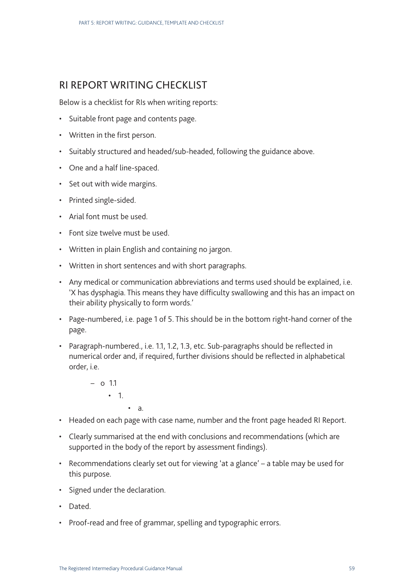## RI REPORT WRITING CHECKLIST

Below is a checklist for RIs when writing reports:

- Suitable front page and contents page.
- Written in the first person.
- Suitably structured and headed/sub-headed, following the guidance above.
- One and a half line-spaced.
- Set out with wide margins.
- Printed single-sided.
- Arial font must be used.
- Font size twelve must be used.
- Written in plain English and containing no jargon.
- Written in short sentences and with short paragraphs.
- Any medical or communication abbreviations and terms used should be explained, i.e. 'X has dysphagia. This means they have difficulty swallowing and this has an impact on their ability physically to form words.'
- Page-numbered, i.e. page 1 of 5. This should be in the bottom right-hand corner of the page.
- Paragraph-numbered., i.e. 1.1, 1.2, 1.3, etc. Sub-paragraphs should be reflected in numerical order and, if required, further divisions should be reflected in alphabetical order, i.e.
	- o 1.1 • 1. • a.
- Headed on each page with case name, number and the front page headed RI Report.
- Clearly summarised at the end with conclusions and recommendations (which are supported in the body of the report by assessment findings).
- Recommendations clearly set out for viewing 'at a glance' a table may be used for this purpose.
- Signed under the declaration.
- Dated.
- Proof-read and free of grammar, spelling and typographic errors.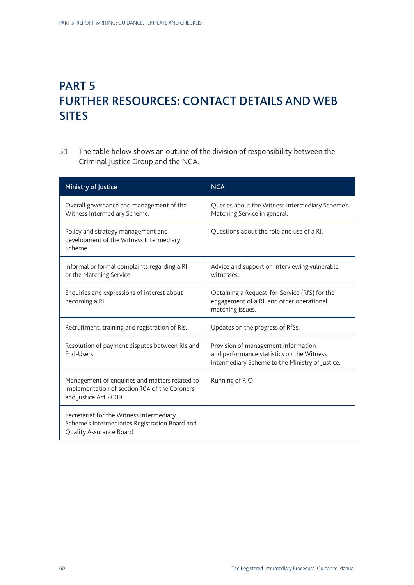## PART 5 FURTHER RESOURCES: CONTACT DETAILS AND WEB SITES

5.1 The table below shows an outline of the division of responsibility between the Criminal Justice Group and the NCA.

| Ministry of Justice                                                                                                      | <b>NCA</b>                                                                                                                          |
|--------------------------------------------------------------------------------------------------------------------------|-------------------------------------------------------------------------------------------------------------------------------------|
| Overall governance and management of the<br>Witness Intermediary Scheme.                                                 | Queries about the Witness Intermediary Scheme's<br>Matching Service in general.                                                     |
| Policy and strategy management and<br>development of the Witness Intermediary<br>Scheme.                                 | Questions about the role and use of a RI.                                                                                           |
| Informal or formal complaints regarding a RI<br>or the Matching Service.                                                 | Advice and support on interviewing vulnerable<br>witnesses.                                                                         |
| Enquiries and expressions of interest about<br>becoming a RI.                                                            | Obtaining a Request-for-Service (RfS) for the<br>engagement of a RI, and other operational<br>matching issues.                      |
| Recruitment, training and registration of RIs.                                                                           | Updates on the progress of RfSs.                                                                                                    |
| Resolution of payment disputes between RIs and<br>End-Users.                                                             | Provision of management information<br>and performance statistics on the Witness<br>Intermediary Scheme to the Ministry of Justice. |
| Management of enquiries and matters related to<br>implementation of section 104 of the Coroners<br>and Justice Act 2009. | Running of RIO                                                                                                                      |
| Secretariat for the Witness Intermediary<br>Scheme's Intermediaries Registration Board and<br>Quality Assurance Board.   |                                                                                                                                     |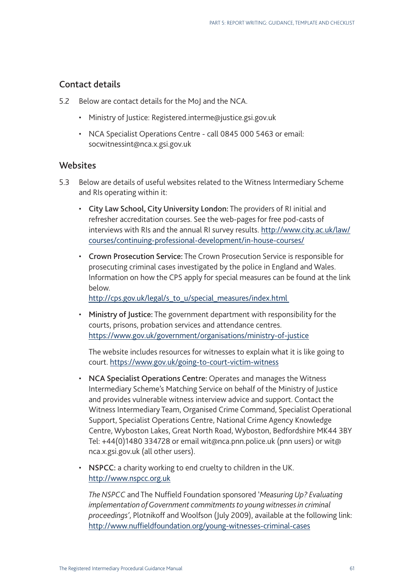## Contact details

- 5.2 Below are contact details for the MoJ and the NCA.
	- Ministry of Justice: [Registered.interme@justice.gsi.gov.uk](mailto:Registered.intermediaries@justice.gsi.gov.uk)
	- NCA Specialist Operations Centre call 0845 000 5463 or email: socwitnessint@nca.x.gsi.gov.uk

### **Websites**

- 5.3 Below are details of useful websites related to the Witness Intermediary Scheme and RIs operating within it:
	- City Law School, City University London: The providers of RI initial and refresher accreditation courses. See the web-pages for free pod-casts of interviews with RIs and the annual RI survey results. [http://www.city.ac.uk/law/](http://www.city.ac.uk/law/courses/continuing-professional-development/in-house-courses/) [courses/continuing-professional-development/in-](http://www.city.ac.uk/law/courses/continuing-professional-development/in-house-courses/)house-courses/
	- Crown Prosecution Service: The Crown Prosecution Service is responsible for prosecuting criminal cases investigated by the police in England and Wales. Information on how the CPS apply for special measures can be found at the link below.

[http://cps.gov.uk/legal/s\\_to\\_u/special\\_measures/index.html](http://cps.gov.uk/legal/s_to_u/special_measures/index.html)

• Ministry of Justice: The government department with responsibility for the courts, prisons, probation services and attendance centres. [https://www.gov.uk/government/organisations/ministry-](https://www.gov.uk/government/organisations/ministry-of-justice)of-justice

The website includes resources for witnesses to explain what it is like going to court. [https://www.gov.uk/going-](https://www.gov.uk/going-to-court-victim-witness)to-court-victim-witness

- NCA Specialist Operations Centre: Operates and manages the Witness Intermediary Scheme's Matching Service on behalf of the Ministry of Justice and provides vulnerable witness interview advice and support. Contact the Witness Intermediary Team, Organised Crime Command, Specialist Operational Support, Specialist Operations Centre, National Crime Agency Knowledge Centre, Wyboston Lakes, Great North Road, Wyboston, Bedfordshire MK44 3BY Tel: +44(0)1480 334728 or email [wit@nca.pnn.police.uk](mailto:wit@nca.pnn.police.uk) (pnn users) or [wit@](mailto:wit@nca.x.gsi.gov.uk) [nca.x.gsi.gov.uk](mailto:wit@nca.x.gsi.gov.uk) (all other users).
- NSPCC: a charity working to end cruelty to children in the UK. <http://www.nspcc.org.uk>

*The NSPCC* and The Nuffield Foundation sponsored '*Measuring Up? Evaluating implementation of Government commitments to young witnesses in criminal proceedings'*, Plotnikoff and Woolfson (July 2009), available at the following link: [http://www.nuffieldfoundation.org/young](http://www.nuffieldfoundation.org/young-witnesses-criminal-cases)-witnesses-criminal-cases